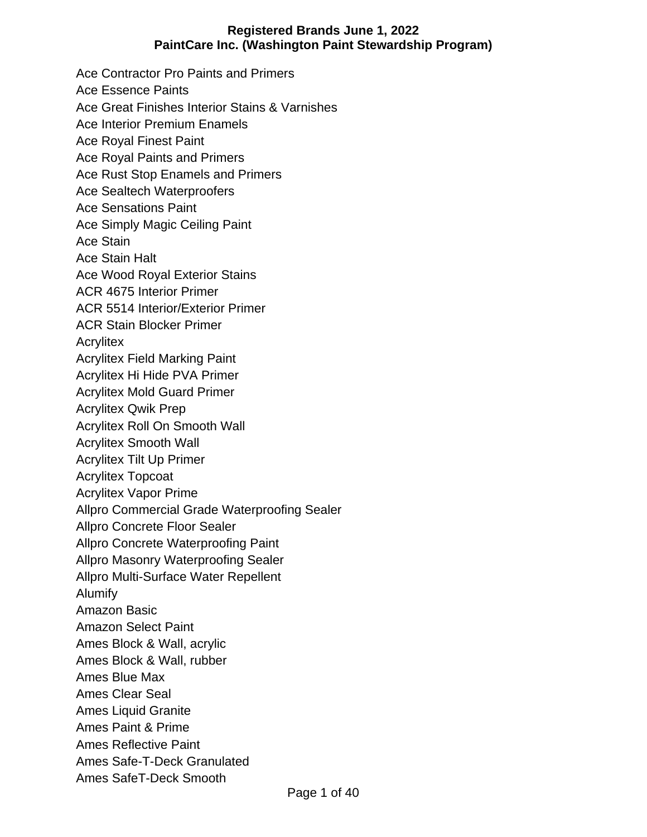Ace Contractor Pro Paints and Primers Ace Essence Paints Ace Great Finishes Interior Stains & Varnishes Ace Interior Premium Enamels Ace Royal Finest Paint Ace Royal Paints and Primers Ace Rust Stop Enamels and Primers Ace Sealtech Waterproofers Ace Sensations Paint Ace Simply Magic Ceiling Paint Ace Stain Ace Stain Halt Ace Wood Royal Exterior Stains ACR 4675 Interior Primer ACR 5514 Interior/Exterior Primer ACR Stain Blocker Primer **Acrylitex** Acrylitex Field Marking Paint Acrylitex Hi Hide PVA Primer Acrylitex Mold Guard Primer Acrylitex Qwik Prep Acrylitex Roll On Smooth Wall Acrylitex Smooth Wall Acrylitex Tilt Up Primer Acrylitex Topcoat Acrylitex Vapor Prime Allpro Commercial Grade Waterproofing Sealer Allpro Concrete Floor Sealer Allpro Concrete Waterproofing Paint Allpro Masonry Waterproofing Sealer Allpro Multi-Surface Water Repellent Alumify Amazon Basic Amazon Select Paint Ames Block & Wall, acrylic Ames Block & Wall, rubber Ames Blue Max Ames Clear Seal Ames Liquid Granite Ames Paint & Prime Ames Reflective Paint Ames Safe-T-Deck Granulated Ames SafeT-Deck Smooth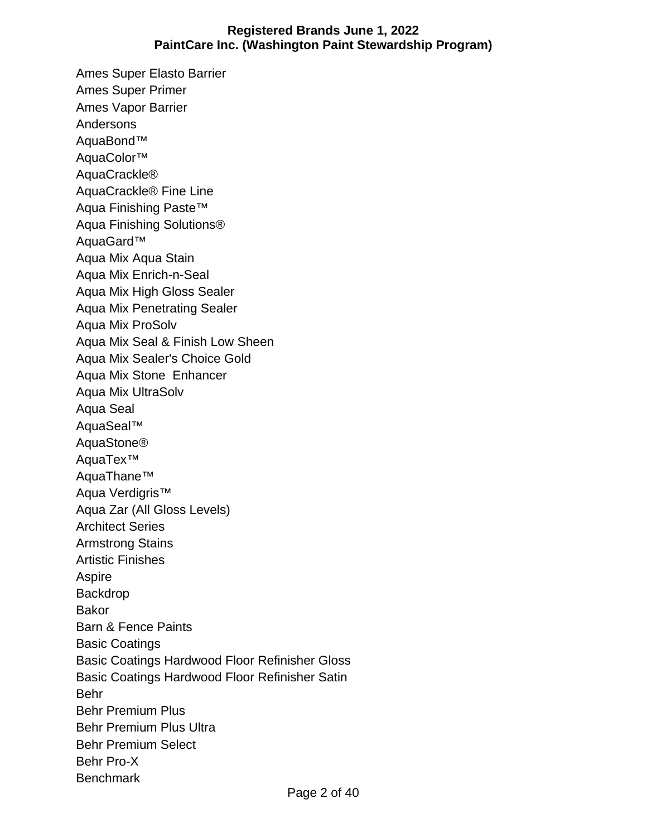Ames Super Elasto Barrier Ames Super Primer Ames Vapor Barrier Andersons AquaBond™ AquaColor™ AquaCrackle® AquaCrackle® Fine Line Aqua Finishing Paste™ Aqua Finishing Solutions® AquaGard™ Aqua Mix Aqua Stain Aqua Mix Enrich-n-Seal Aqua Mix High Gloss Sealer Aqua Mix Penetrating Sealer Aqua Mix ProSolv Aqua Mix Seal & Finish Low Sheen Aqua Mix Sealer's Choice Gold Aqua Mix Stone Enhancer Aqua Mix UltraSolv Aqua Seal AquaSeal™ AquaStone® AquaTex™ AquaThane™ Aqua Verdigris™ Aqua Zar (All Gloss Levels) Architect Series Armstrong Stains Artistic Finishes Aspire Backdrop Bakor Barn & Fence Paints Basic Coatings Basic Coatings Hardwood Floor Refinisher Gloss Basic Coatings Hardwood Floor Refinisher Satin Behr Behr Premium Plus Behr Premium Plus Ultra Behr Premium Select Behr Pro-X **Benchmark**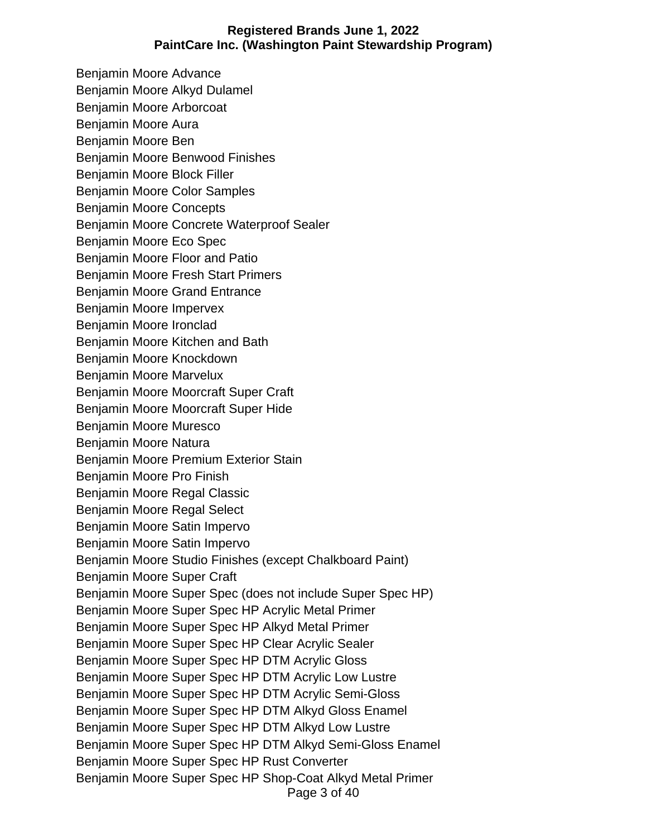Benjamin Moore Advance Benjamin Moore Alkyd Dulamel Benjamin Moore Arborcoat Benjamin Moore Aura Benjamin Moore Ben Benjamin Moore Benwood Finishes Benjamin Moore Block Filler Benjamin Moore Color Samples Benjamin Moore Concepts Benjamin Moore Concrete Waterproof Sealer Benjamin Moore Eco Spec Benjamin Moore Floor and Patio Benjamin Moore Fresh Start Primers Benjamin Moore Grand Entrance Benjamin Moore Impervex Benjamin Moore Ironclad Benjamin Moore Kitchen and Bath Benjamin Moore Knockdown Benjamin Moore Marvelux Benjamin Moore Moorcraft Super Craft Benjamin Moore Moorcraft Super Hide Benjamin Moore Muresco Benjamin Moore Natura Benjamin Moore Premium Exterior Stain Benjamin Moore Pro Finish Benjamin Moore Regal Classic Benjamin Moore Regal Select Benjamin Moore Satin Impervo Benjamin Moore Satin Impervo Benjamin Moore Studio Finishes (except Chalkboard Paint) Benjamin Moore Super Craft Benjamin Moore Super Spec (does not include Super Spec HP) Benjamin Moore Super Spec HP Acrylic Metal Primer Benjamin Moore Super Spec HP Alkyd Metal Primer Benjamin Moore Super Spec HP Clear Acrylic Sealer Benjamin Moore Super Spec HP DTM Acrylic Gloss Benjamin Moore Super Spec HP DTM Acrylic Low Lustre Benjamin Moore Super Spec HP DTM Acrylic Semi-Gloss Benjamin Moore Super Spec HP DTM Alkyd Gloss Enamel Benjamin Moore Super Spec HP DTM Alkyd Low Lustre Benjamin Moore Super Spec HP DTM Alkyd Semi-Gloss Enamel Benjamin Moore Super Spec HP Rust Converter Benjamin Moore Super Spec HP Shop-Coat Alkyd Metal Primer

Page 3 of 40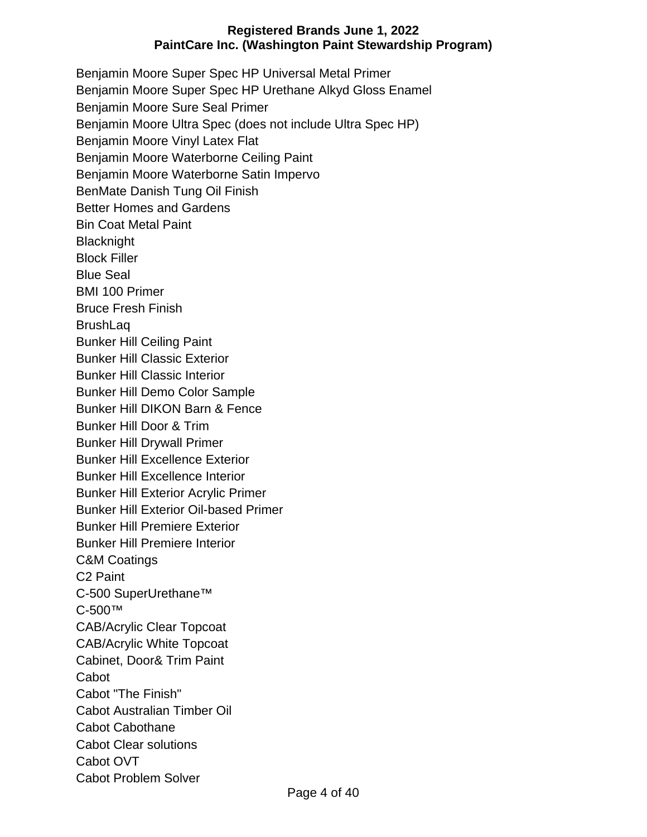Benjamin Moore Super Spec HP Universal Metal Primer Benjamin Moore Super Spec HP Urethane Alkyd Gloss Enamel Benjamin Moore Sure Seal Primer Benjamin Moore Ultra Spec (does not include Ultra Spec HP) Benjamin Moore Vinyl Latex Flat Benjamin Moore Waterborne Ceiling Paint Benjamin Moore Waterborne Satin Impervo BenMate Danish Tung Oil Finish Better Homes and Gardens Bin Coat Metal Paint **Blacknight** Block Filler Blue Seal BMI 100 Primer Bruce Fresh Finish **BrushLaq** Bunker Hill Ceiling Paint Bunker Hill Classic Exterior Bunker Hill Classic Interior Bunker Hill Demo Color Sample Bunker Hill DIKON Barn & Fence Bunker Hill Door & Trim Bunker Hill Drywall Primer Bunker Hill Excellence Exterior Bunker Hill Excellence Interior Bunker Hill Exterior Acrylic Primer Bunker Hill Exterior Oil-based Primer Bunker Hill Premiere Exterior Bunker Hill Premiere Interior C&M Coatings C2 Paint C-500 SuperUrethane™ C-500™ CAB/Acrylic Clear Topcoat CAB/Acrylic White Topcoat Cabinet, Door& Trim Paint **Cabot** Cabot "The Finish" Cabot Australian Timber Oil Cabot Cabothane Cabot Clear solutions Cabot OVT Cabot Problem Solver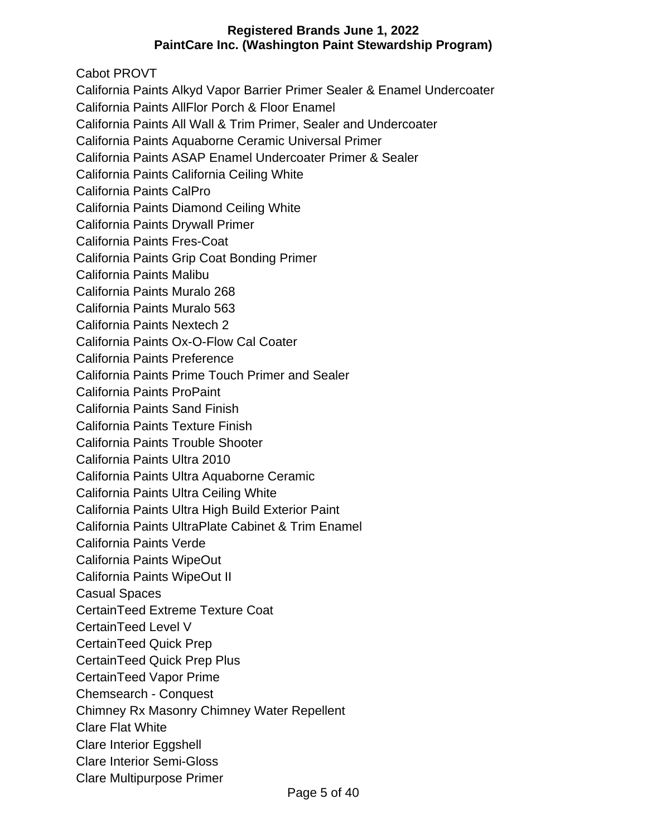Cabot PROVT

California Paints Alkyd Vapor Barrier Primer Sealer & Enamel Undercoater

California Paints AllFlor Porch & Floor Enamel

California Paints All Wall & Trim Primer, Sealer and Undercoater

California Paints Aquaborne Ceramic Universal Primer

California Paints ASAP Enamel Undercoater Primer & Sealer

California Paints California Ceiling White

California Paints CalPro

California Paints Diamond Ceiling White

California Paints Drywall Primer

California Paints Fres-Coat

California Paints Grip Coat Bonding Primer

California Paints Malibu

California Paints Muralo 268

California Paints Muralo 563

California Paints Nextech 2

California Paints Ox-O-Flow Cal Coater

California Paints Preference

California Paints Prime Touch Primer and Sealer

California Paints ProPaint

California Paints Sand Finish

California Paints Texture Finish

California Paints Trouble Shooter

California Paints Ultra 2010

California Paints Ultra Aquaborne Ceramic

California Paints Ultra Ceiling White

California Paints Ultra High Build Exterior Paint

California Paints UltraPlate Cabinet & Trim Enamel

California Paints Verde

California Paints WipeOut

California Paints WipeOut II

Casual Spaces

CertainTeed Extreme Texture Coat

CertainTeed Level V

CertainTeed Quick Prep

CertainTeed Quick Prep Plus

CertainTeed Vapor Prime

Chemsearch - Conquest

Chimney Rx Masonry Chimney Water Repellent

Clare Flat White

Clare Interior Eggshell

Clare Interior Semi-Gloss

Clare Multipurpose Primer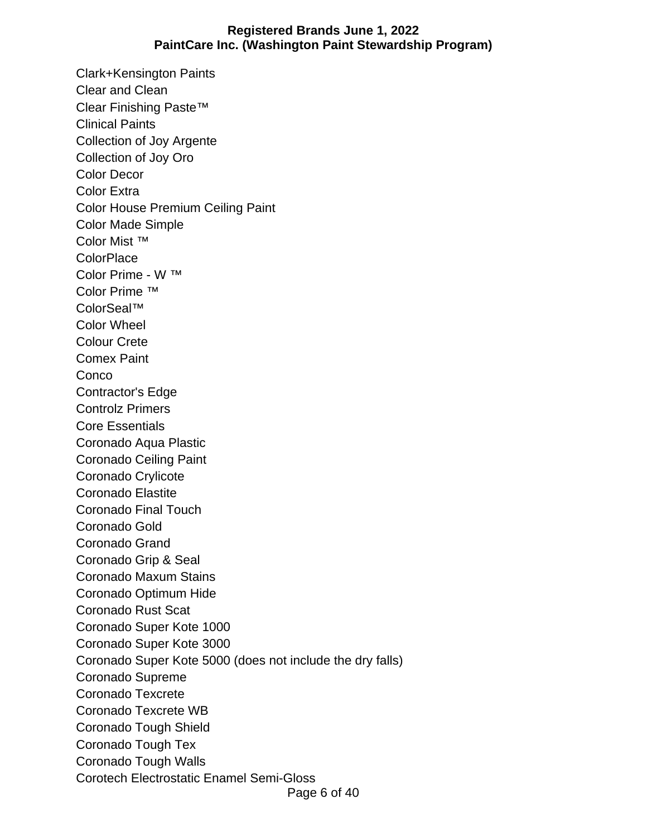Clark+Kensington Paints Clear and Clean Clear Finishing Paste™ Clinical Paints Collection of Joy Argente Collection of Joy Oro Color Decor Color Extra Color House Premium Ceiling Paint Color Made Simple Color Mist ™ **ColorPlace** Color Prime - W ™ Color Prime ™ ColorSeal™ Color Wheel Colour Crete Comex Paint **Conco** Contractor's Edge Controlz Primers Core Essentials Coronado Aqua Plastic Coronado Ceiling Paint Coronado Crylicote Coronado Elastite Coronado Final Touch Coronado Gold Coronado Grand Coronado Grip & Seal Coronado Maxum Stains Coronado Optimum Hide Coronado Rust Scat Coronado Super Kote 1000 Coronado Super Kote 3000 Coronado Super Kote 5000 (does not include the dry falls) Coronado Supreme Coronado Texcrete Coronado Texcrete WB Coronado Tough Shield Coronado Tough Tex Coronado Tough Walls Corotech Electrostatic Enamel Semi-Gloss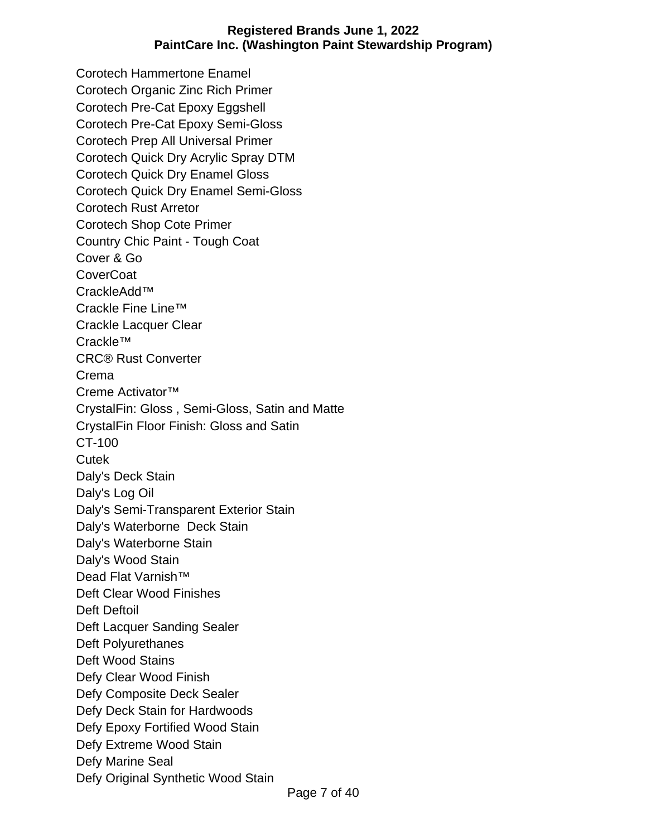Corotech Hammertone Enamel Corotech Organic Zinc Rich Primer Corotech Pre-Cat Epoxy Eggshell Corotech Pre-Cat Epoxy Semi-Gloss Corotech Prep All Universal Primer Corotech Quick Dry Acrylic Spray DTM Corotech Quick Dry Enamel Gloss Corotech Quick Dry Enamel Semi-Gloss Corotech Rust Arretor Corotech Shop Cote Primer Country Chic Paint - Tough Coat Cover & Go **CoverCoat** CrackleAdd™ Crackle Fine Line™ Crackle Lacquer Clear Crackle™ CRC® Rust Converter Crema Creme Activator™ CrystalFin: Gloss , Semi-Gloss, Satin and Matte CrystalFin Floor Finish: Gloss and Satin CT-100 **Cutek** Daly's Deck Stain Daly's Log Oil Daly's Semi-Transparent Exterior Stain Daly's Waterborne Deck Stain Daly's Waterborne Stain Daly's Wood Stain Dead Flat Varnish™ Deft Clear Wood Finishes Deft Deftoil Deft Lacquer Sanding Sealer Deft Polyurethanes Deft Wood Stains Defy Clear Wood Finish Defy Composite Deck Sealer Defy Deck Stain for Hardwoods Defy Epoxy Fortified Wood Stain Defy Extreme Wood Stain Defy Marine Seal Defy Original Synthetic Wood Stain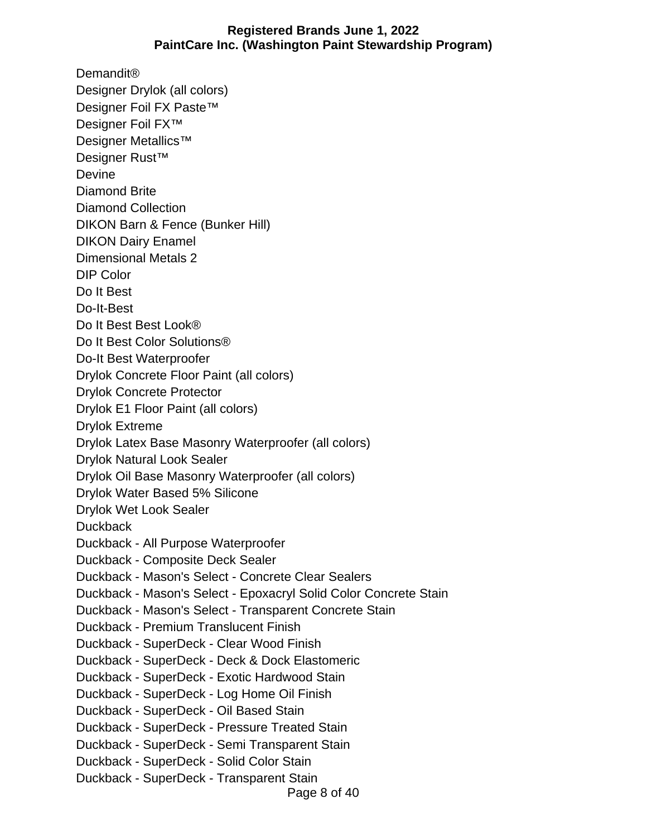Demandit® Designer Drylok (all colors) Designer Foil FX Paste™ Designer Foil FX™ Designer Metallics™ Designer Rust™ Devine Diamond Brite Diamond Collection DIKON Barn & Fence (Bunker Hill) DIKON Dairy Enamel Dimensional Metals 2 DIP Color Do It Best Do-It-Best Do It Best Best Look® Do It Best Color Solutions® Do-It Best Waterproofer Drylok Concrete Floor Paint (all colors) Drylok Concrete Protector Drylok E1 Floor Paint (all colors) Drylok Extreme Drylok Latex Base Masonry Waterproofer (all colors) Drylok Natural Look Sealer Drylok Oil Base Masonry Waterproofer (all colors) Drylok Water Based 5% Silicone Drylok Wet Look Sealer **Duckback** Duckback - All Purpose Waterproofer Duckback - Composite Deck Sealer Duckback - Mason's Select - Concrete Clear Sealers Duckback - Mason's Select - Epoxacryl Solid Color Concrete Stain Duckback - Mason's Select - Transparent Concrete Stain Duckback - Premium Translucent Finish Duckback - SuperDeck - Clear Wood Finish Duckback - SuperDeck - Deck & Dock Elastomeric Duckback - SuperDeck - Exotic Hardwood Stain Duckback - SuperDeck - Log Home Oil Finish Duckback - SuperDeck - Oil Based Stain Duckback - SuperDeck - Pressure Treated Stain Duckback - SuperDeck - Semi Transparent Stain Duckback - SuperDeck - Solid Color Stain Duckback - SuperDeck - Transparent Stain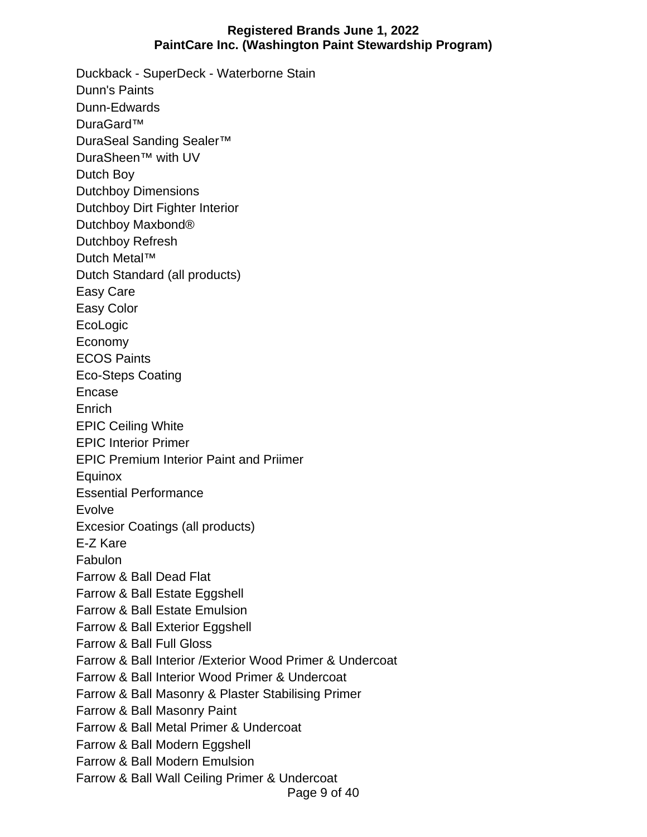Page 9 of 40 Duckback - SuperDeck - Waterborne Stain Dunn's Paints Dunn-Edwards DuraGard™ DuraSeal Sanding Sealer™ DuraSheen™ with UV Dutch Boy Dutchboy Dimensions Dutchboy Dirt Fighter Interior Dutchboy Maxbond® Dutchboy Refresh Dutch Metal™ Dutch Standard (all products) Easy Care Easy Color EcoLogic Economy ECOS Paints Eco-Steps Coating Encase **Enrich** EPIC Ceiling White EPIC Interior Primer EPIC Premium Interior Paint and Priimer Equinox Essential Performance Evolve Excesior Coatings (all products) E-Z Kare Fabulon Farrow & Ball Dead Flat Farrow & Ball Estate Eggshell Farrow & Ball Estate Emulsion Farrow & Ball Exterior Eggshell Farrow & Ball Full Gloss Farrow & Ball Interior /Exterior Wood Primer & Undercoat Farrow & Ball Interior Wood Primer & Undercoat Farrow & Ball Masonry & Plaster Stabilising Primer Farrow & Ball Masonry Paint Farrow & Ball Metal Primer & Undercoat Farrow & Ball Modern Eggshell Farrow & Ball Modern Emulsion Farrow & Ball Wall Ceiling Primer & Undercoat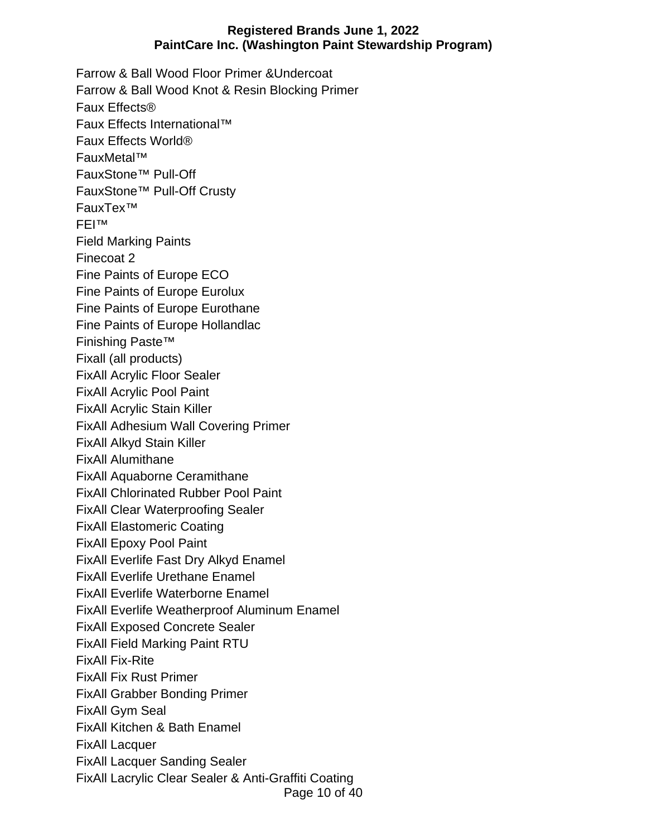Page 10 of 40 Farrow & Ball Wood Floor Primer &Undercoat Farrow & Ball Wood Knot & Resin Blocking Primer Faux Effects® Faux Effects International™ Faux Effects World® FauxMetal™ FauxStone™ Pull-Off FauxStone™ Pull-Off Crusty FauxTex™ FEI™ Field Marking Paints Finecoat 2 Fine Paints of Europe ECO Fine Paints of Europe Eurolux Fine Paints of Europe Eurothane Fine Paints of Europe Hollandlac Finishing Paste™ Fixall (all products) FixAll Acrylic Floor Sealer FixAll Acrylic Pool Paint FixAll Acrylic Stain Killer FixAll Adhesium Wall Covering Primer FixAll Alkyd Stain Killer FixAll Alumithane FixAll Aquaborne Ceramithane FixAll Chlorinated Rubber Pool Paint FixAll Clear Waterproofing Sealer FixAll Elastomeric Coating FixAll Epoxy Pool Paint FixAll Everlife Fast Dry Alkyd Enamel FixAll Everlife Urethane Enamel FixAll Everlife Waterborne Enamel FixAll Everlife Weatherproof Aluminum Enamel FixAll Exposed Concrete Sealer FixAll Field Marking Paint RTU FixAll Fix-Rite FixAll Fix Rust Primer FixAll Grabber Bonding Primer FixAll Gym Seal FixAll Kitchen & Bath Enamel FixAll Lacquer FixAll Lacquer Sanding Sealer FixAll Lacrylic Clear Sealer & Anti-Graffiti Coating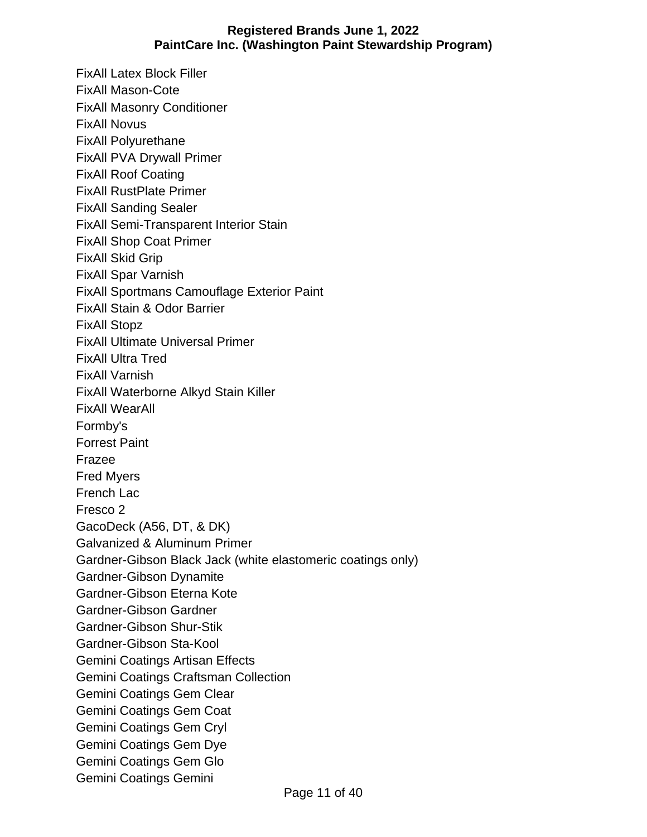FixAll Latex Block Filler FixAll Mason-Cote FixAll Masonry Conditioner FixAll Novus FixAll Polyurethane FixAll PVA Drywall Primer FixAll Roof Coating FixAll RustPlate Primer FixAll Sanding Sealer FixAll Semi-Transparent Interior Stain FixAll Shop Coat Primer FixAll Skid Grip FixAll Spar Varnish FixAll Sportmans Camouflage Exterior Paint FixAll Stain & Odor Barrier FixAll Stopz FixAll Ultimate Universal Primer FixAll Ultra Tred FixAll Varnish FixAll Waterborne Alkyd Stain Killer FixAll WearAll Formby's Forrest Paint Frazee Fred Myers French Lac Fresco 2 GacoDeck (A56, DT, & DK) Galvanized & Aluminum Primer Gardner-Gibson Black Jack (white elastomeric coatings only) Gardner-Gibson Dynamite Gardner-Gibson Eterna Kote Gardner-Gibson Gardner Gardner-Gibson Shur-Stik Gardner-Gibson Sta-Kool Gemini Coatings Artisan Effects Gemini Coatings Craftsman Collection Gemini Coatings Gem Clear Gemini Coatings Gem Coat Gemini Coatings Gem Cryl Gemini Coatings Gem Dye Gemini Coatings Gem Glo Gemini Coatings Gemini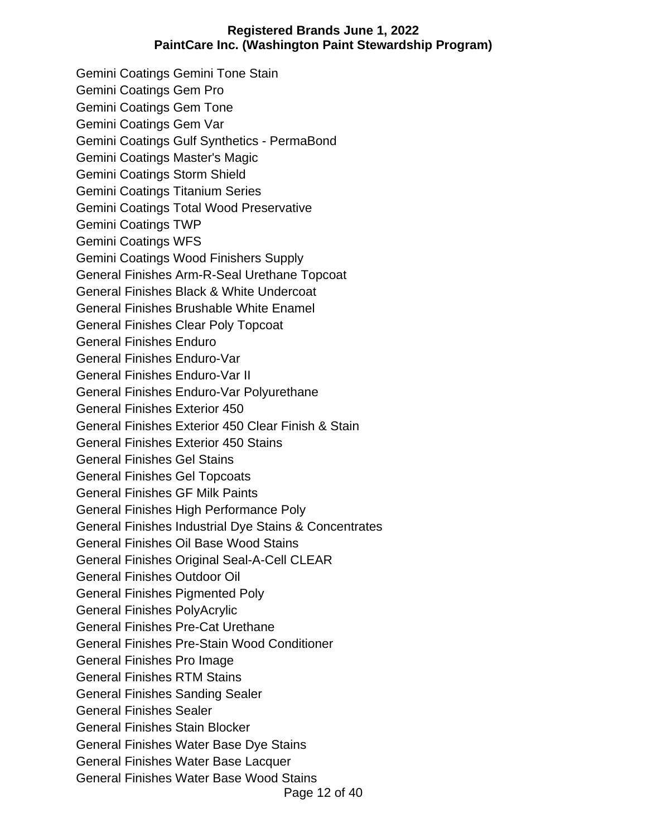Gemini Coatings Gemini Tone Stain Gemini Coatings Gem Pro Gemini Coatings Gem Tone Gemini Coatings Gem Var Gemini Coatings Gulf Synthetics - PermaBond Gemini Coatings Master's Magic Gemini Coatings Storm Shield Gemini Coatings Titanium Series Gemini Coatings Total Wood Preservative Gemini Coatings TWP Gemini Coatings WFS Gemini Coatings Wood Finishers Supply General Finishes Arm-R-Seal Urethane Topcoat General Finishes Black & White Undercoat General Finishes Brushable White Enamel General Finishes Clear Poly Topcoat General Finishes Enduro General Finishes Enduro-Var General Finishes Enduro-Var II General Finishes Enduro-Var Polyurethane General Finishes Exterior 450 General Finishes Exterior 450 Clear Finish & Stain General Finishes Exterior 450 Stains General Finishes Gel Stains General Finishes Gel Topcoats General Finishes GF Milk Paints General Finishes High Performance Poly General Finishes Industrial Dye Stains & Concentrates General Finishes Oil Base Wood Stains General Finishes Original Seal-A-Cell CLEAR General Finishes Outdoor Oil General Finishes Pigmented Poly General Finishes PolyAcrylic General Finishes Pre-Cat Urethane General Finishes Pre-Stain Wood Conditioner General Finishes Pro Image General Finishes RTM Stains General Finishes Sanding Sealer General Finishes Sealer General Finishes Stain Blocker General Finishes Water Base Dye Stains General Finishes Water Base Lacquer General Finishes Water Base Wood Stains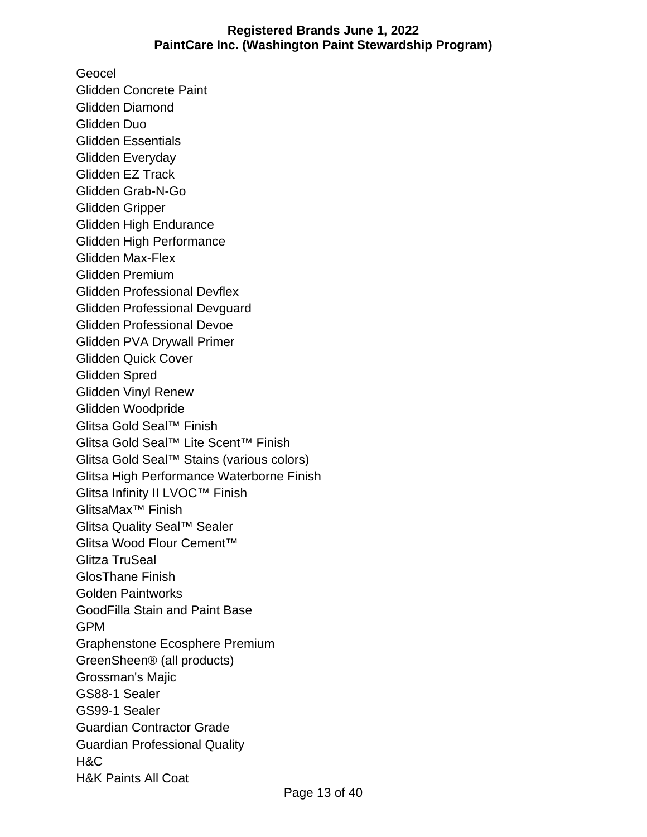Geocel Glidden Concrete Paint Glidden Diamond Glidden Duo Glidden Essentials Glidden Everyday Glidden EZ Track Glidden Grab-N-Go Glidden Gripper Glidden High Endurance Glidden High Performance Glidden Max-Flex Glidden Premium Glidden Professional Devflex Glidden Professional Devguard Glidden Professional Devoe Glidden PVA Drywall Primer Glidden Quick Cover Glidden Spred Glidden Vinyl Renew Glidden Woodpride Glitsa Gold Seal™ Finish Glitsa Gold Seal™ Lite Scent™ Finish Glitsa Gold Seal™ Stains (various colors) Glitsa High Performance Waterborne Finish Glitsa Infinity II LVOC™ Finish GlitsaMax™ Finish Glitsa Quality Seal™ Sealer Glitsa Wood Flour Cement™ Glitza TruSeal GlosThane Finish Golden Paintworks GoodFilla Stain and Paint Base GPM Graphenstone Ecosphere Premium GreenSheen® (all products) Grossman's Majic GS88-1 Sealer GS99-1 Sealer Guardian Contractor Grade Guardian Professional Quality H&C H&K Paints All Coat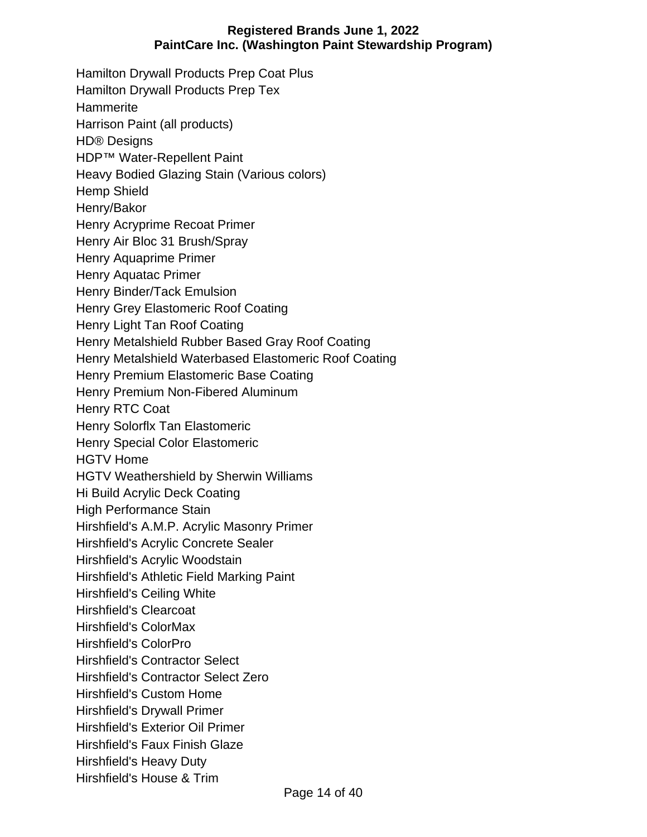Hamilton Drywall Products Prep Coat Plus Hamilton Drywall Products Prep Tex **Hammerite** Harrison Paint (all products) HD® Designs HDP™ Water-Repellent Paint Heavy Bodied Glazing Stain (Various colors) Hemp Shield Henry/Bakor Henry Acryprime Recoat Primer Henry Air Bloc 31 Brush/Spray Henry Aquaprime Primer Henry Aquatac Primer Henry Binder/Tack Emulsion Henry Grey Elastomeric Roof Coating Henry Light Tan Roof Coating Henry Metalshield Rubber Based Gray Roof Coating Henry Metalshield Waterbased Elastomeric Roof Coating Henry Premium Elastomeric Base Coating Henry Premium Non-Fibered Aluminum Henry RTC Coat Henry Solorflx Tan Elastomeric Henry Special Color Elastomeric HGTV Home HGTV Weathershield by Sherwin Williams Hi Build Acrylic Deck Coating High Performance Stain Hirshfield's A.M.P. Acrylic Masonry Primer Hirshfield's Acrylic Concrete Sealer Hirshfield's Acrylic Woodstain Hirshfield's Athletic Field Marking Paint Hirshfield's Ceiling White Hirshfield's Clearcoat Hirshfield's ColorMax Hirshfield's ColorPro Hirshfield's Contractor Select Hirshfield's Contractor Select Zero Hirshfield's Custom Home Hirshfield's Drywall Primer Hirshfield's Exterior Oil Primer Hirshfield's Faux Finish Glaze Hirshfield's Heavy Duty Hirshfield's House & Trim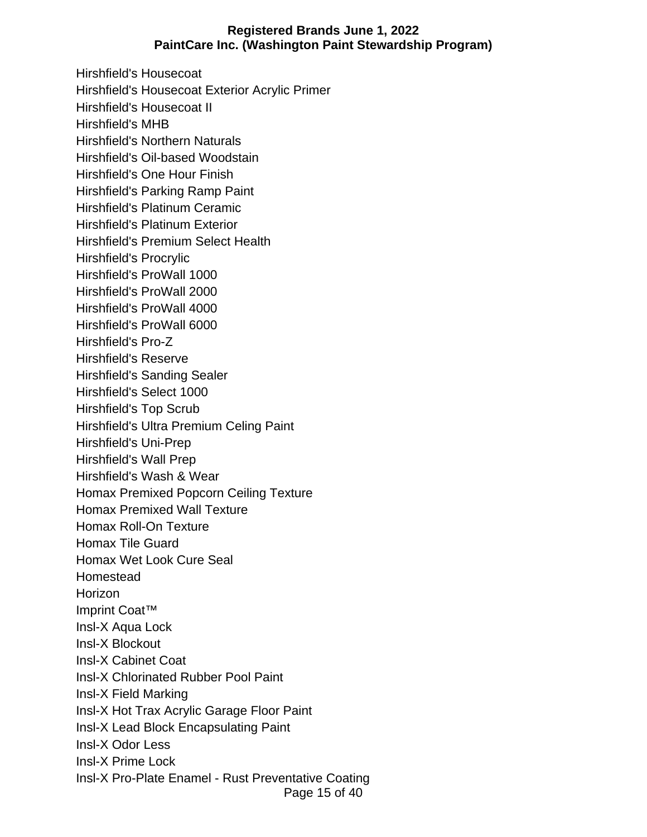Page 15 of 40 Hirshfield's Housecoat Hirshfield's Housecoat Exterior Acrylic Primer Hirshfield's Housecoat II Hirshfield's MHB Hirshfield's Northern Naturals Hirshfield's Oil-based Woodstain Hirshfield's One Hour Finish Hirshfield's Parking Ramp Paint Hirshfield's Platinum Ceramic Hirshfield's Platinum Exterior Hirshfield's Premium Select Health Hirshfield's Procrylic Hirshfield's ProWall 1000 Hirshfield's ProWall 2000 Hirshfield's ProWall 4000 Hirshfield's ProWall 6000 Hirshfield's Pro-Z Hirshfield's Reserve Hirshfield's Sanding Sealer Hirshfield's Select 1000 Hirshfield's Top Scrub Hirshfield's Ultra Premium Celing Paint Hirshfield's Uni-Prep Hirshfield's Wall Prep Hirshfield's Wash & Wear Homax Premixed Popcorn Ceiling Texture Homax Premixed Wall Texture Homax Roll-On Texture Homax Tile Guard Homax Wet Look Cure Seal Homestead Horizon Imprint Coat™ Insl-X Aqua Lock Insl-X Blockout Insl-X Cabinet Coat Insl-X Chlorinated Rubber Pool Paint Insl-X Field Marking Insl-X Hot Trax Acrylic Garage Floor Paint Insl-X Lead Block Encapsulating Paint Insl-X Odor Less Insl-X Prime Lock Insl-X Pro-Plate Enamel - Rust Preventative Coating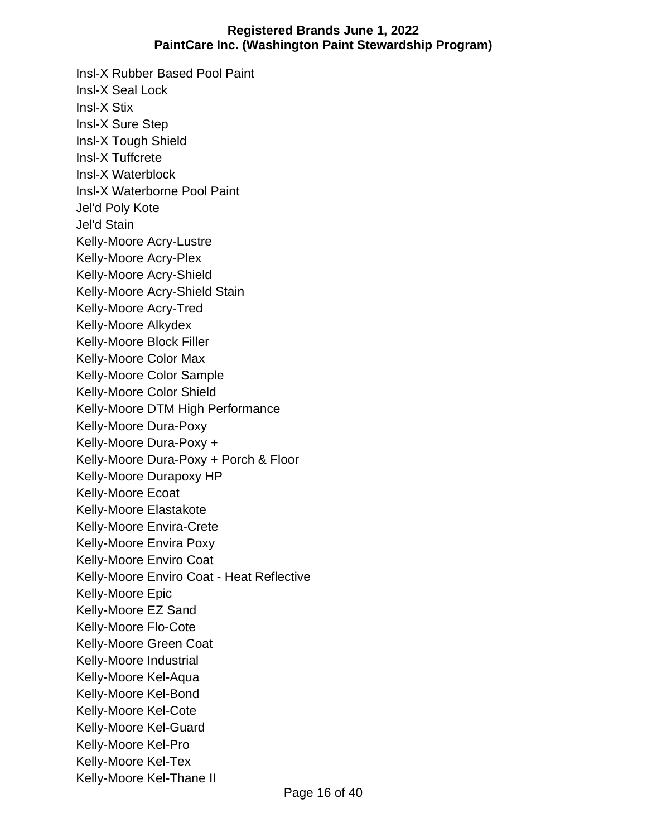Insl-X Rubber Based Pool Paint Insl-X Seal Lock Insl-X Stix Insl-X Sure Step Insl-X Tough Shield Insl-X Tuffcrete Insl-X Waterblock Insl-X Waterborne Pool Paint Jel'd Poly Kote Jel'd Stain Kelly-Moore Acry-Lustre Kelly-Moore Acry-Plex Kelly-Moore Acry-Shield Kelly-Moore Acry-Shield Stain Kelly-Moore Acry-Tred Kelly-Moore Alkydex Kelly-Moore Block Filler Kelly-Moore Color Max Kelly-Moore Color Sample Kelly-Moore Color Shield Kelly-Moore DTM High Performance Kelly-Moore Dura-Poxy Kelly-Moore Dura-Poxy + Kelly-Moore Dura-Poxy + Porch & Floor Kelly-Moore Durapoxy HP Kelly-Moore Ecoat Kelly-Moore Elastakote Kelly-Moore Envira-Crete Kelly-Moore Envira Poxy Kelly-Moore Enviro Coat Kelly-Moore Enviro Coat - Heat Reflective Kelly-Moore Epic Kelly-Moore EZ Sand Kelly-Moore Flo-Cote Kelly-Moore Green Coat Kelly-Moore Industrial Kelly-Moore Kel-Aqua Kelly-Moore Kel-Bond Kelly-Moore Kel-Cote Kelly-Moore Kel-Guard Kelly-Moore Kel-Pro Kelly-Moore Kel-Tex Kelly-Moore Kel-Thane II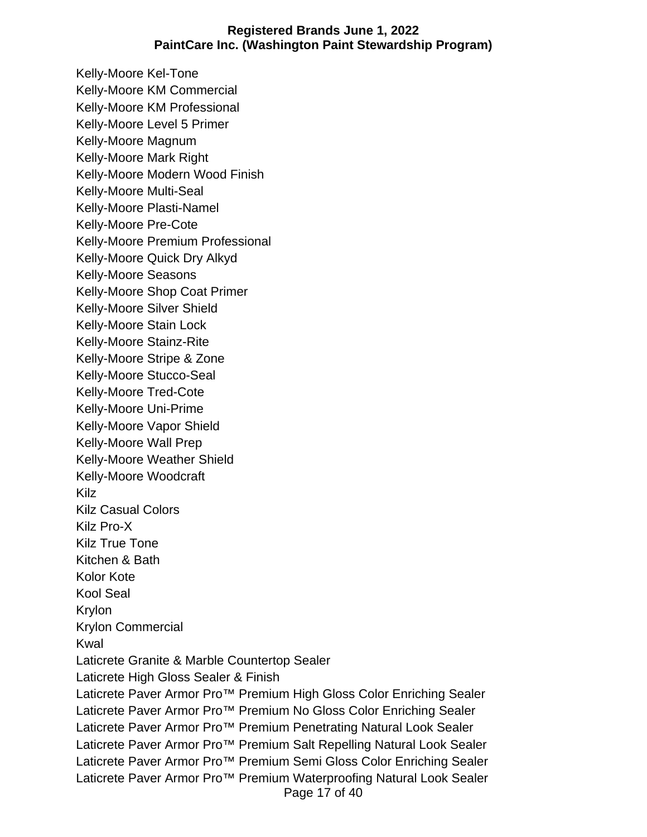Page 17 of 40 Kelly-Moore Kel-Tone Kelly-Moore KM Commercial Kelly-Moore KM Professional Kelly-Moore Level 5 Primer Kelly-Moore Magnum Kelly-Moore Mark Right Kelly-Moore Modern Wood Finish Kelly-Moore Multi-Seal Kelly-Moore Plasti-Namel Kelly-Moore Pre-Cote Kelly-Moore Premium Professional Kelly-Moore Quick Dry Alkyd Kelly-Moore Seasons Kelly-Moore Shop Coat Primer Kelly-Moore Silver Shield Kelly-Moore Stain Lock Kelly-Moore Stainz-Rite Kelly-Moore Stripe & Zone Kelly-Moore Stucco-Seal Kelly-Moore Tred-Cote Kelly-Moore Uni-Prime Kelly-Moore Vapor Shield Kelly-Moore Wall Prep Kelly-Moore Weather Shield Kelly-Moore Woodcraft Kilz Kilz Casual Colors Kilz Pro-X Kilz True Tone Kitchen & Bath Kolor Kote Kool Seal Krylon Krylon Commercial Kwal Laticrete Granite & Marble Countertop Sealer Laticrete High Gloss Sealer & Finish Laticrete Paver Armor Pro<sup>™</sup> Premium High Gloss Color Enriching Sealer Laticrete Paver Armor Pro<sup>™</sup> Premium No Gloss Color Enriching Sealer Laticrete Paver Armor Pro<sup>™</sup> Premium Penetrating Natural Look Sealer Laticrete Paver Armor Pro™ Premium Salt Repelling Natural Look Sealer Laticrete Paver Armor Pro<sup>™</sup> Premium Semi Gloss Color Enriching Sealer Laticrete Paver Armor Pro<sup>™</sup> Premium Waterproofing Natural Look Sealer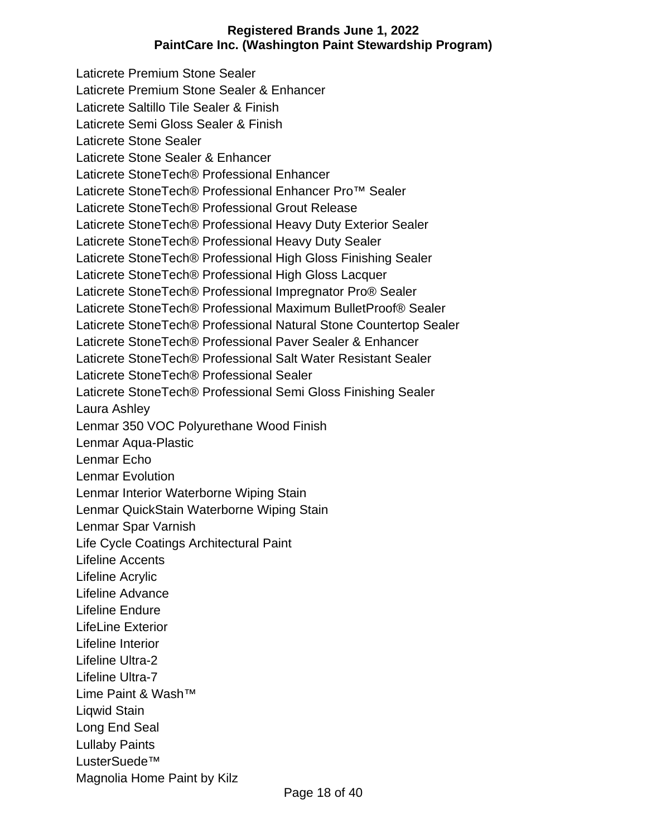Laticrete Premium Stone Sealer Laticrete Premium Stone Sealer & Enhancer Laticrete Saltillo Tile Sealer & Finish Laticrete Semi Gloss Sealer & Finish Laticrete Stone Sealer Laticrete Stone Sealer & Enhancer Laticrete StoneTech® Professional Enhancer Laticrete StoneTech® Professional Enhancer Pro™ Sealer Laticrete StoneTech® Professional Grout Release Laticrete StoneTech® Professional Heavy Duty Exterior Sealer Laticrete StoneTech® Professional Heavy Duty Sealer Laticrete StoneTech® Professional High Gloss Finishing Sealer Laticrete StoneTech® Professional High Gloss Lacquer Laticrete StoneTech® Professional Impregnator Pro® Sealer Laticrete StoneTech® Professional Maximum BulletProof® Sealer Laticrete StoneTech® Professional Natural Stone Countertop Sealer Laticrete StoneTech® Professional Paver Sealer & Enhancer Laticrete StoneTech® Professional Salt Water Resistant Sealer Laticrete StoneTech® Professional Sealer Laticrete StoneTech® Professional Semi Gloss Finishing Sealer Laura Ashley Lenmar 350 VOC Polyurethane Wood Finish Lenmar Aqua-Plastic Lenmar Echo Lenmar Evolution Lenmar Interior Waterborne Wiping Stain Lenmar QuickStain Waterborne Wiping Stain Lenmar Spar Varnish Life Cycle Coatings Architectural Paint Lifeline Accents Lifeline Acrylic Lifeline Advance Lifeline Endure LifeLine Exterior Lifeline Interior Lifeline Ultra-2 Lifeline Ultra-7 Lime Paint & Wash™ Liqwid Stain Long End Seal Lullaby Paints LusterSuede™ Magnolia Home Paint by Kilz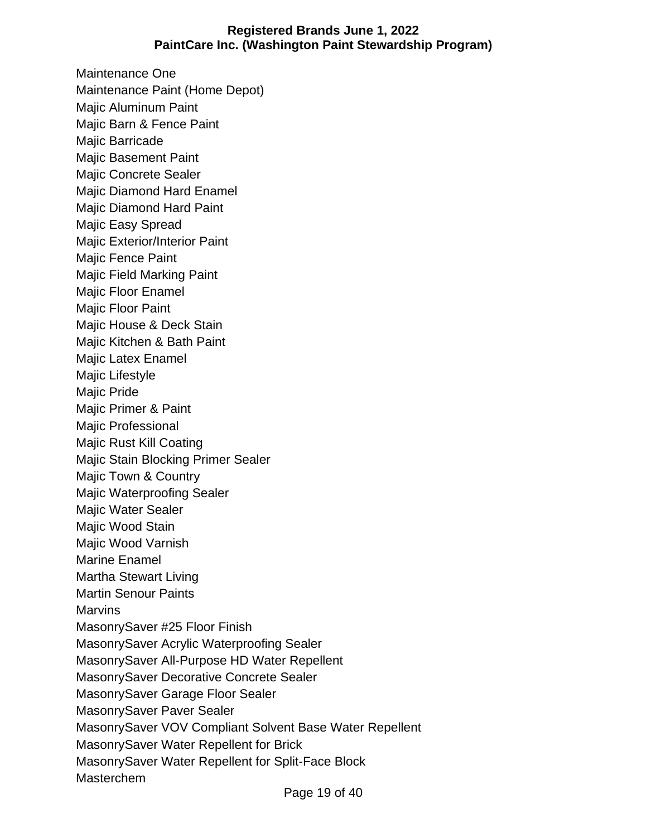Maintenance One Maintenance Paint (Home Depot) Majic Aluminum Paint Majic Barn & Fence Paint Majic Barricade Majic Basement Paint Majic Concrete Sealer Majic Diamond Hard Enamel Majic Diamond Hard Paint Majic Easy Spread Majic Exterior/Interior Paint Majic Fence Paint Majic Field Marking Paint Majic Floor Enamel Majic Floor Paint Majic House & Deck Stain Majic Kitchen & Bath Paint Majic Latex Enamel Majic Lifestyle Majic Pride Majic Primer & Paint Majic Professional Majic Rust Kill Coating Majic Stain Blocking Primer Sealer Majic Town & Country Majic Waterproofing Sealer Majic Water Sealer Majic Wood Stain Majic Wood Varnish Marine Enamel Martha Stewart Living Martin Senour Paints **Marvins** MasonrySaver #25 Floor Finish MasonrySaver Acrylic Waterproofing Sealer MasonrySaver All-Purpose HD Water Repellent MasonrySaver Decorative Concrete Sealer MasonrySaver Garage Floor Sealer MasonrySaver Paver Sealer MasonrySaver VOV Compliant Solvent Base Water Repellent MasonrySaver Water Repellent for Brick MasonrySaver Water Repellent for Split-Face Block Masterchem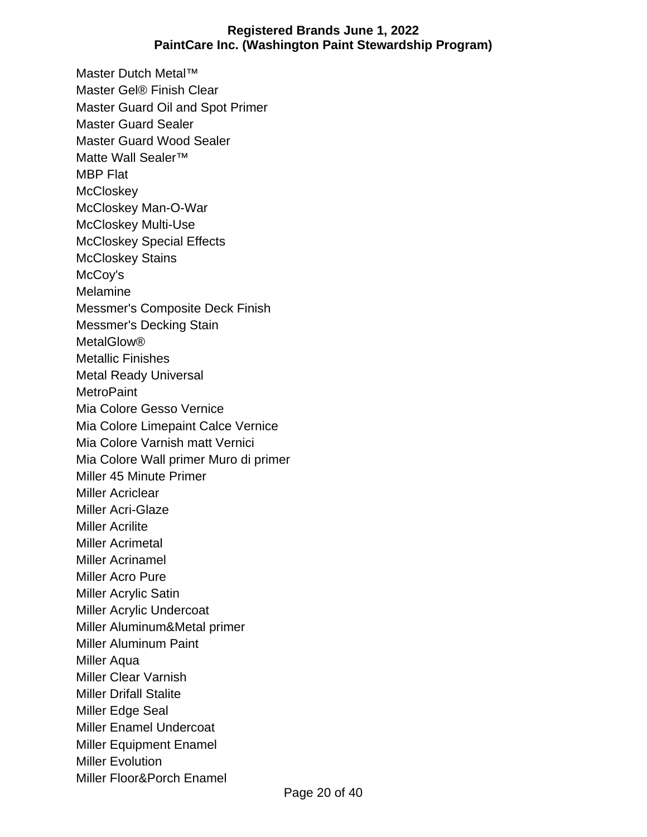Master Dutch Metal™ Master Gel® Finish Clear Master Guard Oil and Spot Primer Master Guard Sealer Master Guard Wood Sealer Matte Wall Sealer™ MBP Flat **McCloskey** McCloskey Man-O-War McCloskey Multi-Use McCloskey Special Effects McCloskey Stains McCoy's Melamine Messmer's Composite Deck Finish Messmer's Decking Stain MetalGlow® Metallic Finishes Metal Ready Universal **MetroPaint** Mia Colore Gesso Vernice Mia Colore Limepaint Calce Vernice Mia Colore Varnish matt Vernici Mia Colore Wall primer Muro di primer Miller 45 Minute Primer Miller Acriclear Miller Acri-Glaze Miller Acrilite Miller Acrimetal Miller Acrinamel Miller Acro Pure Miller Acrylic Satin Miller Acrylic Undercoat Miller Aluminum&Metal primer Miller Aluminum Paint Miller Aqua Miller Clear Varnish Miller Drifall Stalite Miller Edge Seal Miller Enamel Undercoat Miller Equipment Enamel Miller Evolution Miller Floor&Porch Enamel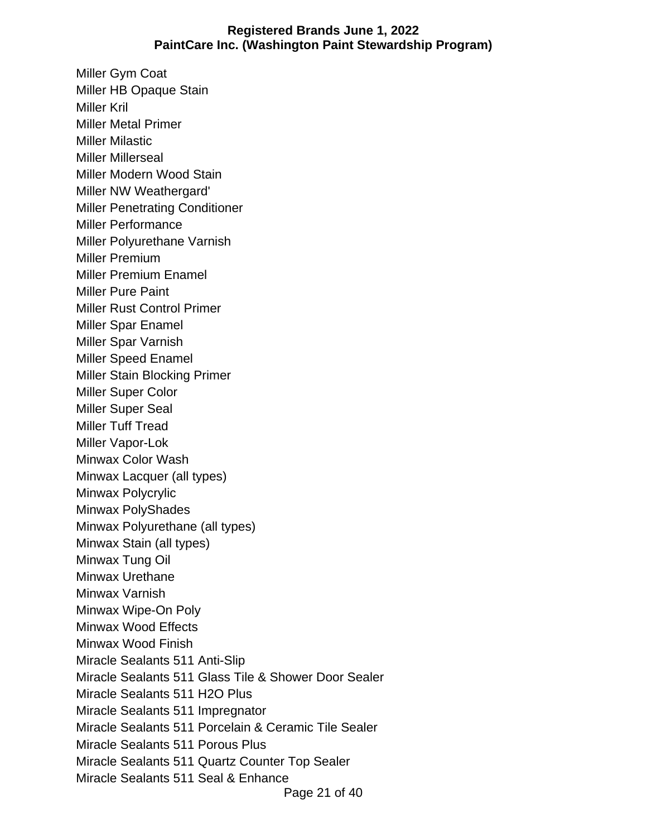Miller Gym Coat Miller HB Opaque Stain Miller Kril Miller Metal Primer Miller Milastic Miller Millerseal Miller Modern Wood Stain Miller NW Weathergard' Miller Penetrating Conditioner Miller Performance Miller Polyurethane Varnish Miller Premium Miller Premium Enamel Miller Pure Paint Miller Rust Control Primer Miller Spar Enamel Miller Spar Varnish Miller Speed Enamel Miller Stain Blocking Primer Miller Super Color Miller Super Seal Miller Tuff Tread Miller Vapor-Lok Minwax Color Wash Minwax Lacquer (all types) Minwax Polycrylic Minwax PolyShades Minwax Polyurethane (all types) Minwax Stain (all types) Minwax Tung Oil Minwax Urethane Minwax Varnish Minwax Wipe-On Poly Minwax Wood Effects Minwax Wood Finish Miracle Sealants 511 Anti-Slip Miracle Sealants 511 Glass Tile & Shower Door Sealer Miracle Sealants 511 H2O Plus Miracle Sealants 511 Impregnator Miracle Sealants 511 Porcelain & Ceramic Tile Sealer Miracle Sealants 511 Porous Plus Miracle Sealants 511 Quartz Counter Top Sealer Miracle Sealants 511 Seal & Enhance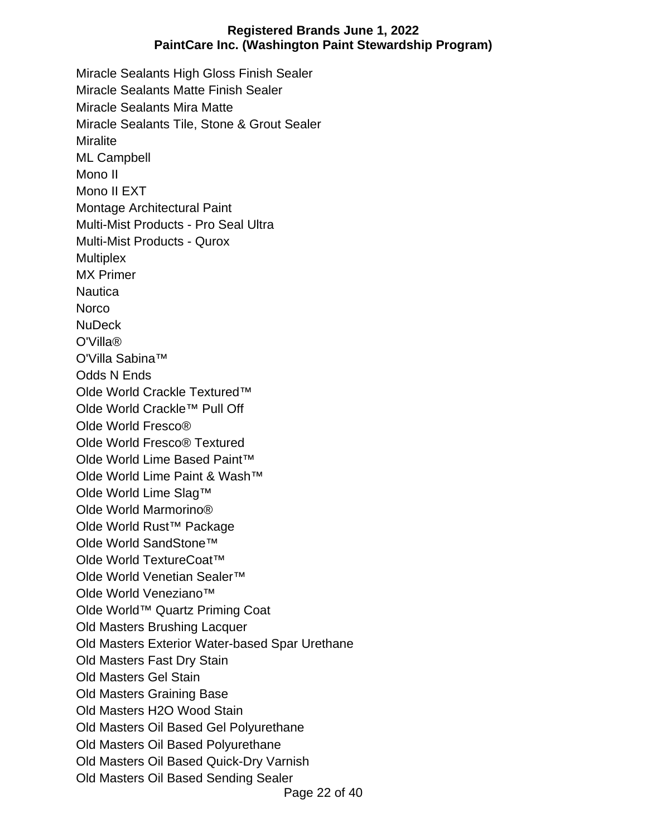Miracle Sealants High Gloss Finish Sealer Miracle Sealants Matte Finish Sealer Miracle Sealants Mira Matte Miracle Sealants Tile, Stone & Grout Sealer **Miralite** ML Campbell Mono II Mono II EXT Montage Architectural Paint Multi-Mist Products - Pro Seal Ultra Multi-Mist Products - Qurox **Multiplex** MX Primer **Nautica Norco** NuDeck O'Villa® O'Villa Sabina™ Odds N Ends Olde World Crackle Textured™ Olde World Crackle™ Pull Off Olde World Fresco® Olde World Fresco® Textured Olde World Lime Based Paint™ Olde World Lime Paint & Wash™ Olde World Lime Slag™ Olde World Marmorino® Olde World Rust™ Package Olde World SandStone™ Olde World TextureCoat™ Olde World Venetian Sealer™ Olde World Veneziano™ Olde World™ Quartz Priming Coat Old Masters Brushing Lacquer Old Masters Exterior Water-based Spar Urethane Old Masters Fast Dry Stain Old Masters Gel Stain Old Masters Graining Base Old Masters H2O Wood Stain Old Masters Oil Based Gel Polyurethane Old Masters Oil Based Polyurethane Old Masters Oil Based Quick-Dry Varnish Old Masters Oil Based Sending Sealer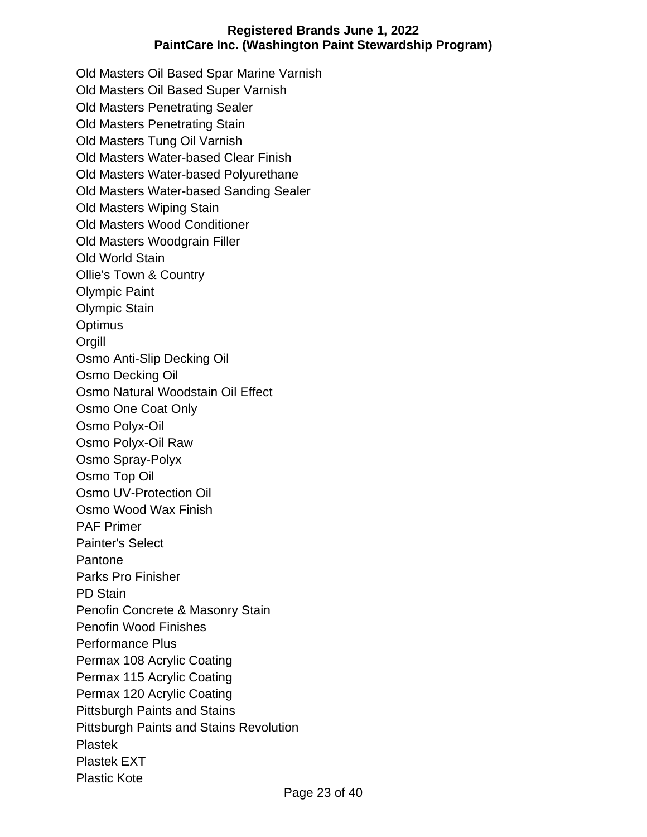Old Masters Oil Based Spar Marine Varnish Old Masters Oil Based Super Varnish Old Masters Penetrating Sealer Old Masters Penetrating Stain Old Masters Tung Oil Varnish Old Masters Water-based Clear Finish Old Masters Water-based Polyurethane Old Masters Water-based Sanding Sealer Old Masters Wiping Stain Old Masters Wood Conditioner Old Masters Woodgrain Filler Old World Stain Ollie's Town & Country Olympic Paint Olympic Stain **Optimus** Orgill Osmo Anti-Slip Decking Oil Osmo Decking Oil Osmo Natural Woodstain Oil Effect Osmo One Coat Only Osmo Polyx-Oil Osmo Polyx-Oil Raw Osmo Spray-Polyx Osmo Top Oil Osmo UV-Protection Oil Osmo Wood Wax Finish PAF Primer Painter's Select Pantone Parks Pro Finisher PD Stain Penofin Concrete & Masonry Stain Penofin Wood Finishes Performance Plus Permax 108 Acrylic Coating Permax 115 Acrylic Coating Permax 120 Acrylic Coating Pittsburgh Paints and Stains Pittsburgh Paints and Stains Revolution Plastek Plastek EXT Plastic Kote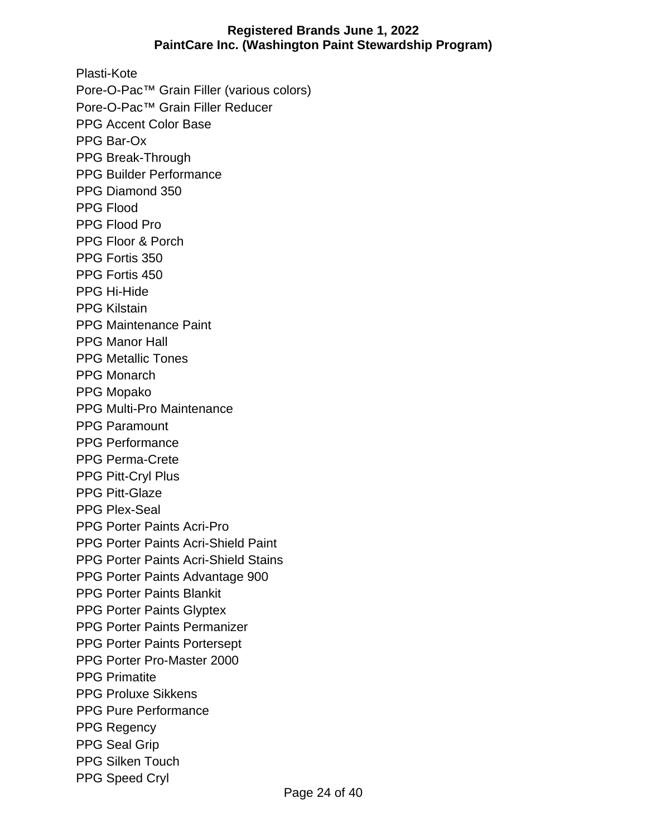Plasti-Kote Pore-O-Pac™ Grain Filler (various colors) Pore-O-Pac™ Grain Filler Reducer PPG Accent Color Base PPG Bar-Ox PPG Break-Through PPG Builder Performance PPG Diamond 350 PPG Flood PPG Flood Pro PPG Floor & Porch PPG Fortis 350 PPG Fortis 450 PPG Hi-Hide PPG Kilstain PPG Maintenance Paint PPG Manor Hall PPG Metallic Tones PPG Monarch PPG Mopako PPG Multi-Pro Maintenance PPG Paramount PPG Performance PPG Perma-Crete PPG Pitt-Cryl Plus PPG Pitt-Glaze PPG Plex-Seal PPG Porter Paints Acri-Pro PPG Porter Paints Acri-Shield Paint PPG Porter Paints Acri-Shield Stains PPG Porter Paints Advantage 900 PPG Porter Paints Blankit PPG Porter Paints Glyptex PPG Porter Paints Permanizer PPG Porter Paints Portersept PPG Porter Pro-Master 2000 PPG Primatite PPG Proluxe Sikkens PPG Pure Performance PPG Regency PPG Seal Grip PPG Silken Touch PPG Speed Cryl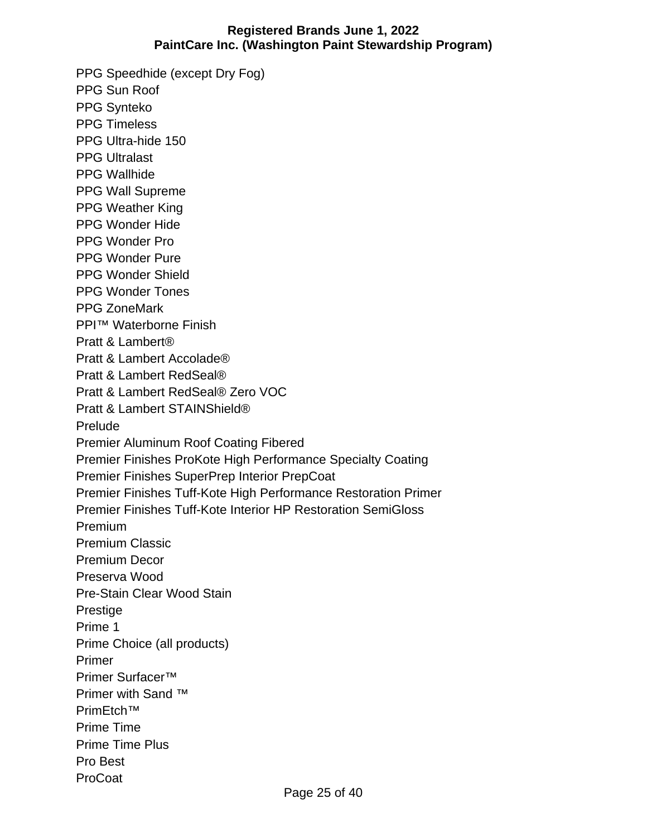PPG Speedhide (except Dry Fog) PPG Sun Roof PPG Synteko PPG Timeless PPG Ultra-hide 150 PPG Ultralast PPG Wallhide PPG Wall Supreme PPG Weather King PPG Wonder Hide PPG Wonder Pro PPG Wonder Pure PPG Wonder Shield PPG Wonder Tones PPG ZoneMark PPI™ Waterborne Finish Pratt & Lambert® Pratt & Lambert Accolade® Pratt & Lambert RedSeal® Pratt & Lambert RedSeal® Zero VOC Pratt & Lambert STAINShield® Prelude Premier Aluminum Roof Coating Fibered Premier Finishes ProKote High Performance Specialty Coating Premier Finishes SuperPrep Interior PrepCoat Premier Finishes Tuff-Kote High Performance Restoration Primer Premier Finishes Tuff-Kote Interior HP Restoration SemiGloss Premium Premium Classic Premium Decor Preserva Wood Pre-Stain Clear Wood Stain Prestige Prime 1 Prime Choice (all products) Primer Primer Surfacer™ Primer with Sand ™ PrimEtch™ Prime Time Prime Time Plus Pro Best ProCoat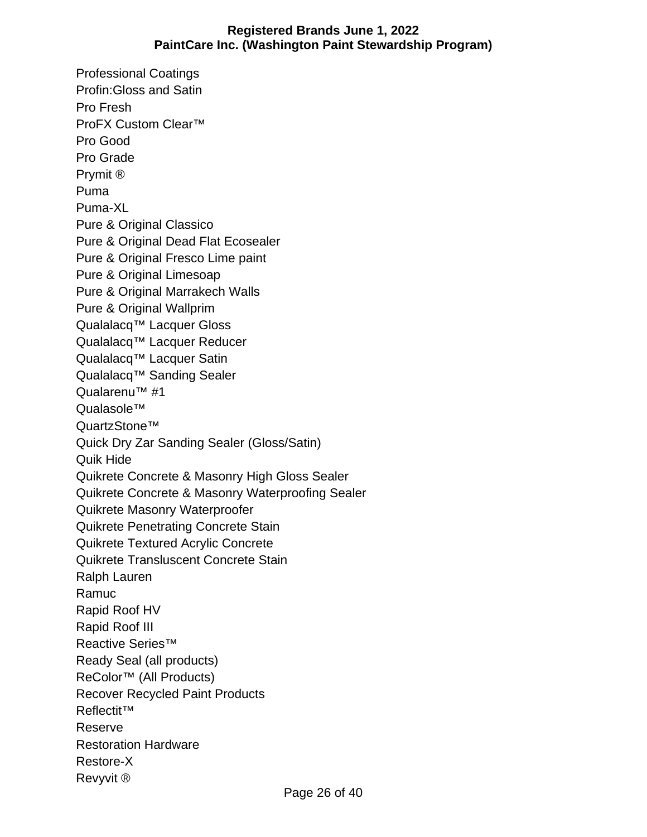Professional Coatings Profin:Gloss and Satin Pro Fresh ProFX Custom Clear™ Pro Good Pro Grade Prymit ® Puma Puma-XL Pure & Original Classico Pure & Original Dead Flat Ecosealer Pure & Original Fresco Lime paint Pure & Original Limesoap Pure & Original Marrakech Walls Pure & Original Wallprim Qualalacq™ Lacquer Gloss Qualalacq™ Lacquer Reducer Qualalacq™ Lacquer Satin Qualalacq™ Sanding Sealer Qualarenu™ #1 Qualasole™ QuartzStone™ Quick Dry Zar Sanding Sealer (Gloss/Satin) Quik Hide Quikrete Concrete & Masonry High Gloss Sealer Quikrete Concrete & Masonry Waterproofing Sealer Quikrete Masonry Waterproofer Quikrete Penetrating Concrete Stain Quikrete Textured Acrylic Concrete Quikrete Transluscent Concrete Stain Ralph Lauren Ramuc Rapid Roof HV Rapid Roof III Reactive Series™ Ready Seal (all products) ReColor™ (All Products) Recover Recycled Paint Products Reflectit™ Reserve Restoration Hardware Restore-X Revyvit ®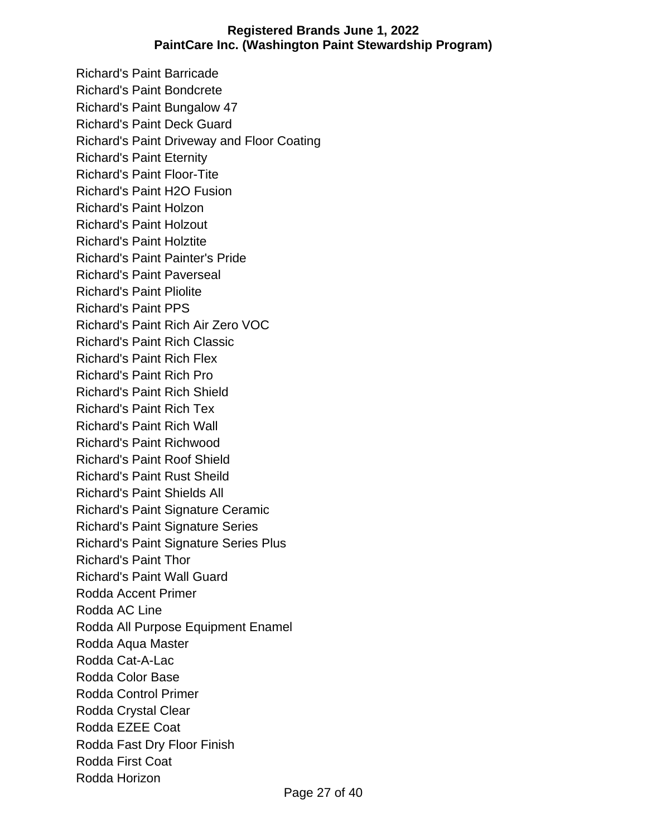Richard's Paint Barricade Richard's Paint Bondcrete Richard's Paint Bungalow 47 Richard's Paint Deck Guard Richard's Paint Driveway and Floor Coating Richard's Paint Eternity Richard's Paint Floor-Tite Richard's Paint H2O Fusion Richard's Paint Holzon Richard's Paint Holzout Richard's Paint Holztite Richard's Paint Painter's Pride Richard's Paint Paverseal Richard's Paint Pliolite Richard's Paint PPS Richard's Paint Rich Air Zero VOC Richard's Paint Rich Classic Richard's Paint Rich Flex Richard's Paint Rich Pro Richard's Paint Rich Shield Richard's Paint Rich Tex Richard's Paint Rich Wall Richard's Paint Richwood Richard's Paint Roof Shield Richard's Paint Rust Sheild Richard's Paint Shields All Richard's Paint Signature Ceramic Richard's Paint Signature Series Richard's Paint Signature Series Plus Richard's Paint Thor Richard's Paint Wall Guard Rodda Accent Primer Rodda AC Line Rodda All Purpose Equipment Enamel Rodda Aqua Master Rodda Cat-A-Lac Rodda Color Base Rodda Control Primer Rodda Crystal Clear Rodda EZEE Coat Rodda Fast Dry Floor Finish Rodda First Coat Rodda Horizon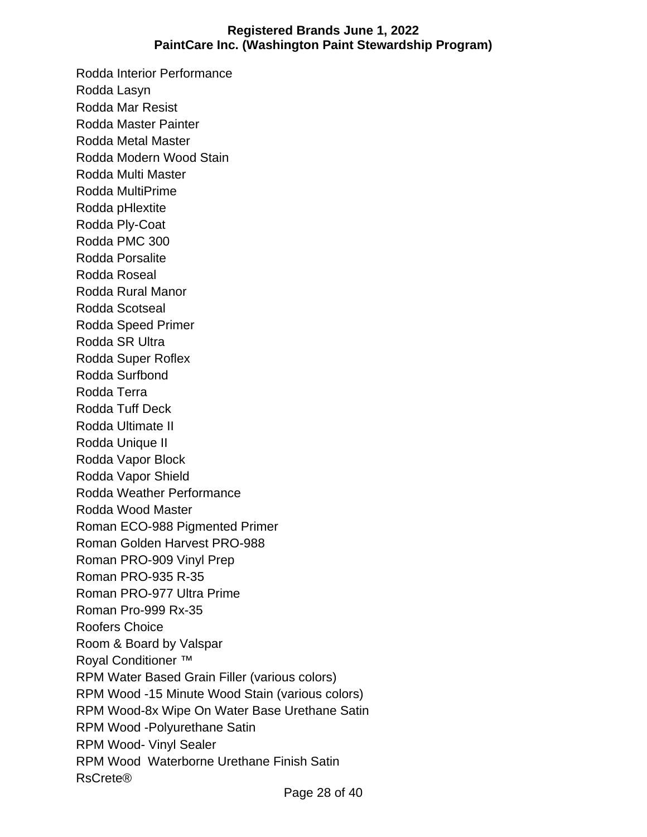Rodda Interior Performance Rodda Lasyn Rodda Mar Resist Rodda Master Painter Rodda Metal Master Rodda Modern Wood Stain Rodda Multi Master Rodda MultiPrime Rodda pHlextite Rodda Ply-Coat Rodda PMC 300 Rodda Porsalite Rodda Roseal Rodda Rural Manor Rodda Scotseal Rodda Speed Primer Rodda SR Ultra Rodda Super Roflex Rodda Surfbond Rodda Terra Rodda Tuff Deck Rodda Ultimate II Rodda Unique II Rodda Vapor Block Rodda Vapor Shield Rodda Weather Performance Rodda Wood Master Roman ECO-988 Pigmented Primer Roman Golden Harvest PRO-988 Roman PRO-909 Vinyl Prep Roman PRO-935 R-35 Roman PRO-977 Ultra Prime Roman Pro-999 Rx-35 Roofers Choice Room & Board by Valspar Royal Conditioner ™ RPM Water Based Grain Filler (various colors) RPM Wood -15 Minute Wood Stain (various colors) RPM Wood-8x Wipe On Water Base Urethane Satin RPM Wood -Polyurethane Satin RPM Wood- Vinyl Sealer RPM Wood Waterborne Urethane Finish Satin RsCrete®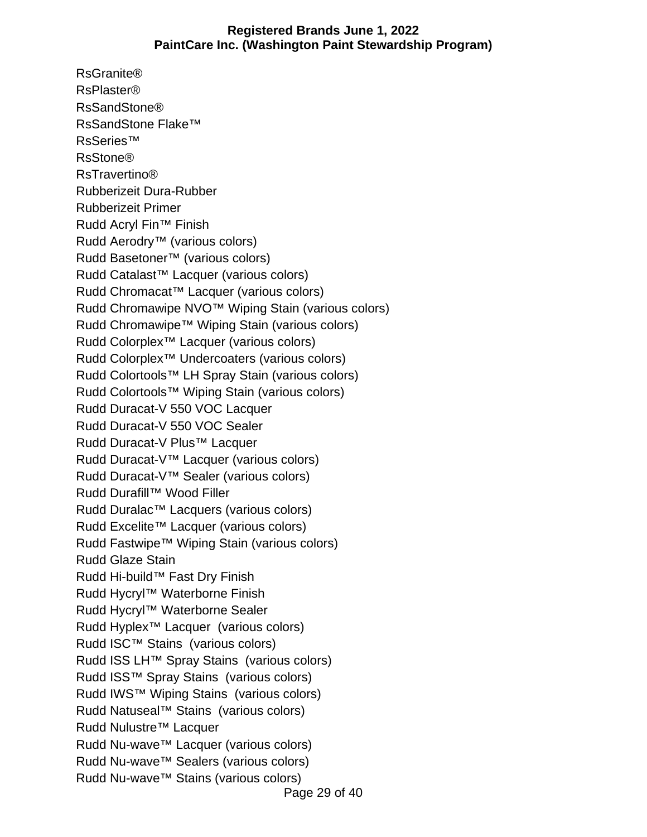RsGranite® RsPlaster® RsSandStone® RsSandStone Flake™ RsSeries™ RsStone® RsTravertino® Rubberizeit Dura-Rubber Rubberizeit Primer Rudd Acryl Fin™ Finish Rudd Aerodry™ (various colors) Rudd Basetoner™ (various colors) Rudd Catalast™ Lacquer (various colors) Rudd Chromacat™ Lacquer (various colors) Rudd Chromawipe NVO™ Wiping Stain (various colors) Rudd Chromawipe™ Wiping Stain (various colors) Rudd Colorplex™ Lacquer (various colors) Rudd Colorplex™ Undercoaters (various colors) Rudd Colortools™ LH Spray Stain (various colors) Rudd Colortools™ Wiping Stain (various colors) Rudd Duracat-V 550 VOC Lacquer Rudd Duracat-V 550 VOC Sealer Rudd Duracat-V Plus™ Lacquer Rudd Duracat-V™ Lacquer (various colors) Rudd Duracat-V™ Sealer (various colors) Rudd Durafill™ Wood Filler Rudd Duralac™ Lacquers (various colors) Rudd Excelite™ Lacquer (various colors) Rudd Fastwipe™ Wiping Stain (various colors) Rudd Glaze Stain Rudd Hi-build™ Fast Dry Finish Rudd Hycryl™ Waterborne Finish Rudd Hycryl™ Waterborne Sealer Rudd Hyplex™ Lacquer (various colors) Rudd ISC™ Stains (various colors) Rudd ISS LH™ Spray Stains (various colors) Rudd ISS™ Spray Stains (various colors) Rudd IWS™ Wiping Stains (various colors) Rudd Natuseal™ Stains (various colors) Rudd Nulustre™ Lacquer Rudd Nu-wave™ Lacquer (various colors) Rudd Nu-wave™ Sealers (various colors) Rudd Nu-wave™ Stains (various colors)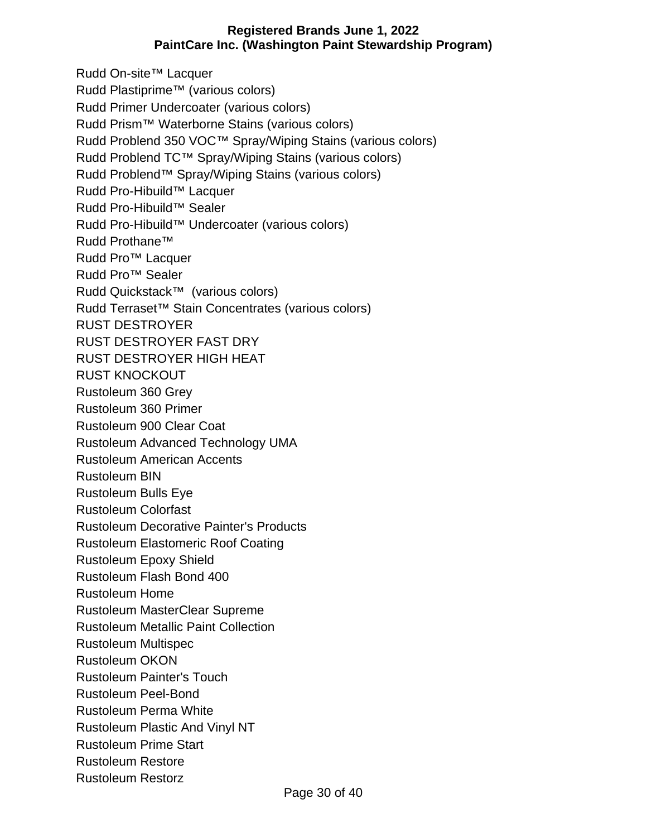Rudd On-site™ Lacquer Rudd Plastiprime™ (various colors) Rudd Primer Undercoater (various colors) Rudd Prism™ Waterborne Stains (various colors) Rudd Problend 350 VOC™ Spray/Wiping Stains (various colors) Rudd Problend TC™ Spray/Wiping Stains (various colors) Rudd Problend™ Spray/Wiping Stains (various colors) Rudd Pro-Hibuild™ Lacquer Rudd Pro-Hibuild™ Sealer Rudd Pro-Hibuild™ Undercoater (various colors) Rudd Prothane™ Rudd Pro™ Lacquer Rudd Pro™ Sealer Rudd Quickstack™ (various colors) Rudd Terraset™ Stain Concentrates (various colors) RUST DESTROYER RUST DESTROYER FAST DRY RUST DESTROYER HIGH HEAT RUST KNOCKOUT Rustoleum 360 Grey Rustoleum 360 Primer Rustoleum 900 Clear Coat Rustoleum Advanced Technology UMA Rustoleum American Accents Rustoleum BIN Rustoleum Bulls Eye Rustoleum Colorfast Rustoleum Decorative Painter's Products Rustoleum Elastomeric Roof Coating Rustoleum Epoxy Shield Rustoleum Flash Bond 400 Rustoleum Home Rustoleum MasterClear Supreme Rustoleum Metallic Paint Collection Rustoleum Multispec Rustoleum OKON Rustoleum Painter's Touch Rustoleum Peel-Bond Rustoleum Perma White Rustoleum Plastic And Vinyl NT Rustoleum Prime Start Rustoleum Restore Rustoleum Restorz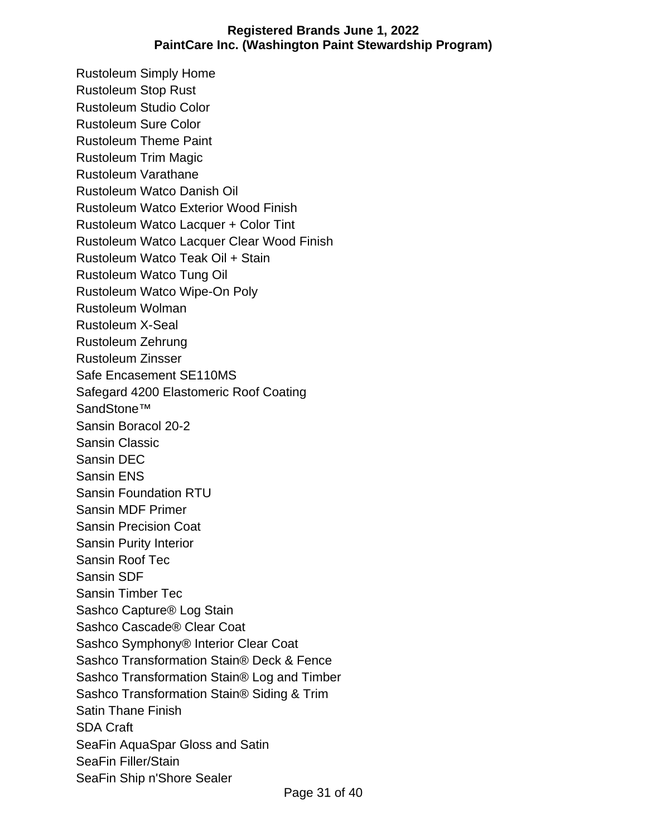Rustoleum Simply Home Rustoleum Stop Rust Rustoleum Studio Color Rustoleum Sure Color Rustoleum Theme Paint Rustoleum Trim Magic Rustoleum Varathane Rustoleum Watco Danish Oil Rustoleum Watco Exterior Wood Finish Rustoleum Watco Lacquer + Color Tint Rustoleum Watco Lacquer Clear Wood Finish Rustoleum Watco Teak Oil + Stain Rustoleum Watco Tung Oil Rustoleum Watco Wipe-On Poly Rustoleum Wolman Rustoleum X-Seal Rustoleum Zehrung Rustoleum Zinsser Safe Encasement SE110MS Safegard 4200 Elastomeric Roof Coating SandStone™ Sansin Boracol 20-2 Sansin Classic Sansin DEC Sansin ENS Sansin Foundation RTU Sansin MDF Primer Sansin Precision Coat Sansin Purity Interior Sansin Roof Tec Sansin SDF Sansin Timber Tec Sashco Capture® Log Stain Sashco Cascade® Clear Coat Sashco Symphony® Interior Clear Coat Sashco Transformation Stain® Deck & Fence Sashco Transformation Stain® Log and Timber Sashco Transformation Stain® Siding & Trim Satin Thane Finish SDA Craft SeaFin AquaSpar Gloss and Satin SeaFin Filler/Stain SeaFin Ship n'Shore Sealer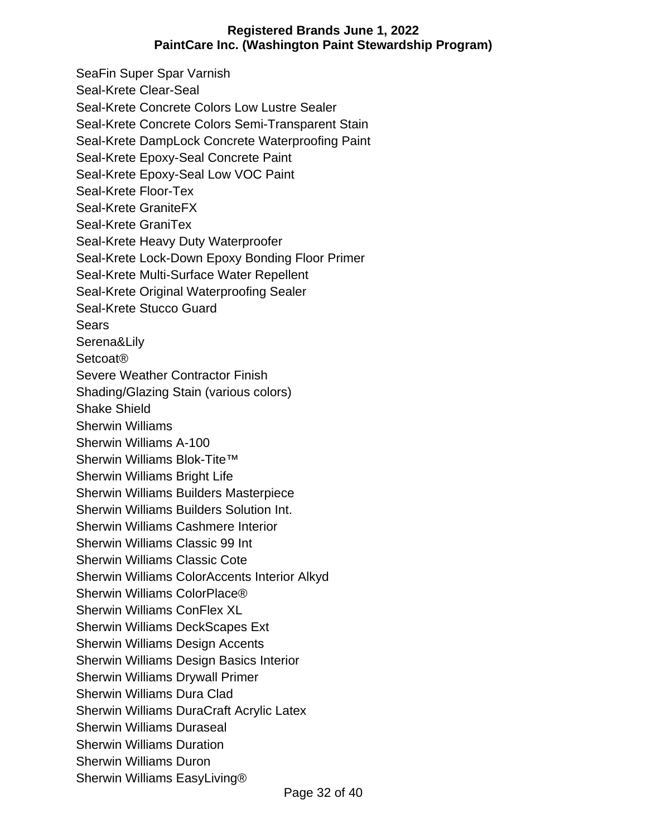SeaFin Super Spar Varnish Seal-Krete Clear-Seal Seal-Krete Concrete Colors Low Lustre Sealer Seal-Krete Concrete Colors Semi-Transparent Stain Seal-Krete DampLock Concrete Waterproofing Paint Seal-Krete Epoxy-Seal Concrete Paint Seal-Krete Epoxy-Seal Low VOC Paint Seal-Krete Floor-Tex Seal-Krete GraniteFX Seal-Krete GraniTex Seal-Krete Heavy Duty Waterproofer Seal-Krete Lock-Down Epoxy Bonding Floor Primer Seal-Krete Multi-Surface Water Repellent Seal-Krete Original Waterproofing Sealer Seal-Krete Stucco Guard **Sears** Serena&Lily Setcoat® Severe Weather Contractor Finish Shading/Glazing Stain (various colors) Shake Shield Sherwin Williams Sherwin Williams A-100 Sherwin Williams Blok-Tite™ Sherwin Williams Bright Life Sherwin Williams Builders Masterpiece Sherwin Williams Builders Solution Int. Sherwin Williams Cashmere Interior Sherwin Williams Classic 99 Int Sherwin Williams Classic Cote Sherwin Williams ColorAccents Interior Alkyd Sherwin Williams ColorPlace® Sherwin Williams ConFlex XL Sherwin Williams DeckScapes Ext Sherwin Williams Design Accents Sherwin Williams Design Basics Interior Sherwin Williams Drywall Primer Sherwin Williams Dura Clad Sherwin Williams DuraCraft Acrylic Latex Sherwin Williams Duraseal Sherwin Williams Duration Sherwin Williams Duron Sherwin Williams EasyLiving®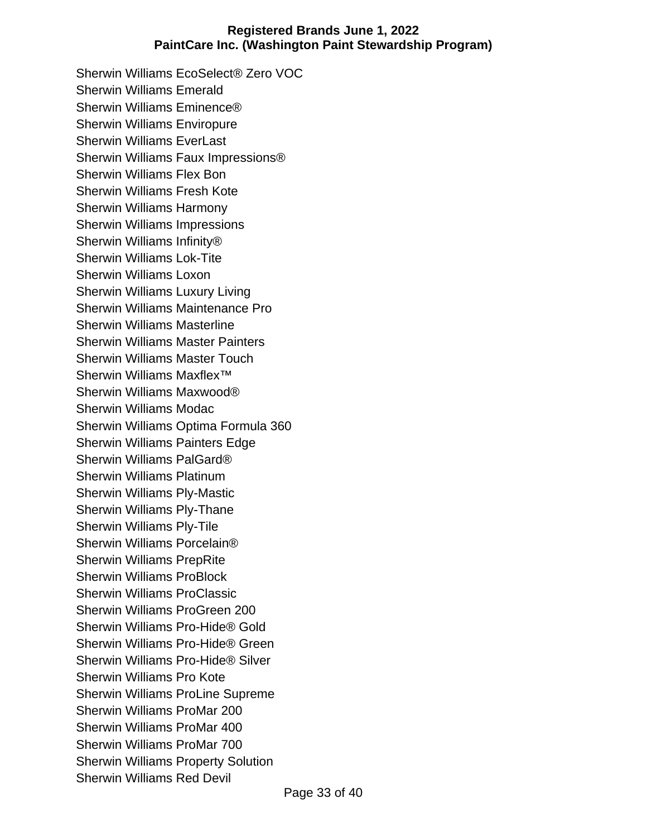Sherwin Williams EcoSelect® Zero VOC Sherwin Williams Emerald Sherwin Williams Eminence® Sherwin Williams Enviropure Sherwin Williams EverLast Sherwin Williams Faux Impressions® Sherwin Williams Flex Bon Sherwin Williams Fresh Kote Sherwin Williams Harmony Sherwin Williams Impressions Sherwin Williams Infinity® Sherwin Williams Lok-Tite Sherwin Williams Loxon Sherwin Williams Luxury Living Sherwin Williams Maintenance Pro Sherwin Williams Masterline Sherwin Williams Master Painters Sherwin Williams Master Touch Sherwin Williams Maxflex<sup>™</sup> Sherwin Williams Maxwood® Sherwin Williams Modac Sherwin Williams Optima Formula 360 Sherwin Williams Painters Edge Sherwin Williams PalGard® Sherwin Williams Platinum Sherwin Williams Ply-Mastic Sherwin Williams Ply-Thane Sherwin Williams Ply-Tile Sherwin Williams Porcelain® Sherwin Williams PrepRite Sherwin Williams ProBlock Sherwin Williams ProClassic Sherwin Williams ProGreen 200 Sherwin Williams Pro-Hide® Gold Sherwin Williams Pro-Hide® Green Sherwin Williams Pro-Hide® Silver Sherwin Williams Pro Kote Sherwin Williams ProLine Supreme Sherwin Williams ProMar 200 Sherwin Williams ProMar 400 Sherwin Williams ProMar 700 Sherwin Williams Property Solution Sherwin Williams Red Devil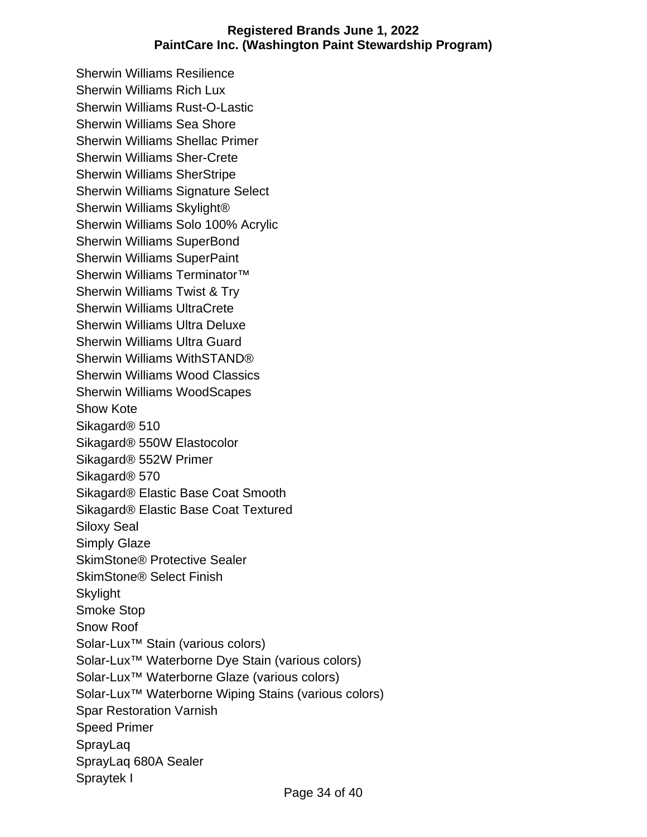Sherwin Williams Resilience Sherwin Williams Rich Lux Sherwin Williams Rust-O-Lastic Sherwin Williams Sea Shore Sherwin Williams Shellac Primer Sherwin Williams Sher-Crete Sherwin Williams SherStripe Sherwin Williams Signature Select Sherwin Williams Skylight® Sherwin Williams Solo 100% Acrylic Sherwin Williams SuperBond Sherwin Williams SuperPaint Sherwin Williams Terminator<sup>™</sup> Sherwin Williams Twist & Try Sherwin Williams UltraCrete Sherwin Williams Ultra Deluxe Sherwin Williams Ultra Guard Sherwin Williams WithSTAND® Sherwin Williams Wood Classics Sherwin Williams WoodScapes Show Kote Sikagard® 510 Sikagard® 550W Elastocolor Sikagard® 552W Primer Sikagard® 570 Sikagard® Elastic Base Coat Smooth Sikagard® Elastic Base Coat Textured Siloxy Seal Simply Glaze SkimStone® Protective Sealer SkimStone® Select Finish **Skylight** Smoke Stop Snow Roof Solar-Lux™ Stain (various colors) Solar-Lux™ Waterborne Dye Stain (various colors) Solar-Lux™ Waterborne Glaze (various colors) Solar-Lux™ Waterborne Wiping Stains (various colors) Spar Restoration Varnish Speed Primer SprayLaq SprayLaq 680A Sealer Spraytek I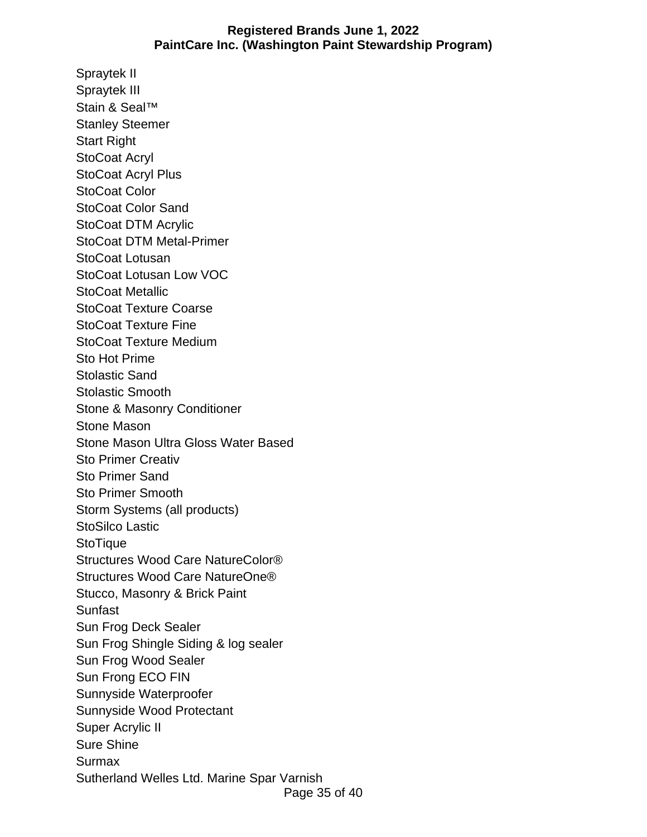Spraytek II Spraytek III Stain & Seal™ Stanley Steemer Start Right StoCoat Acryl StoCoat Acryl Plus StoCoat Color StoCoat Color Sand StoCoat DTM Acrylic StoCoat DTM Metal-Primer StoCoat Lotusan StoCoat Lotusan Low VOC StoCoat Metallic StoCoat Texture Coarse StoCoat Texture Fine StoCoat Texture Medium Sto Hot Prime Stolastic Sand Stolastic Smooth Stone & Masonry Conditioner Stone Mason Stone Mason Ultra Gloss Water Based Sto Primer Creativ Sto Primer Sand Sto Primer Smooth Storm Systems (all products) StoSilco Lastic **StoTique** Structures Wood Care NatureColor® Structures Wood Care NatureOne® Stucco, Masonry & Brick Paint Sunfast Sun Frog Deck Sealer Sun Frog Shingle Siding & log sealer Sun Frog Wood Sealer Sun Frong ECO FIN Sunnyside Waterproofer Sunnyside Wood Protectant Super Acrylic II Sure Shine **Surmax** Sutherland Welles Ltd. Marine Spar Varnish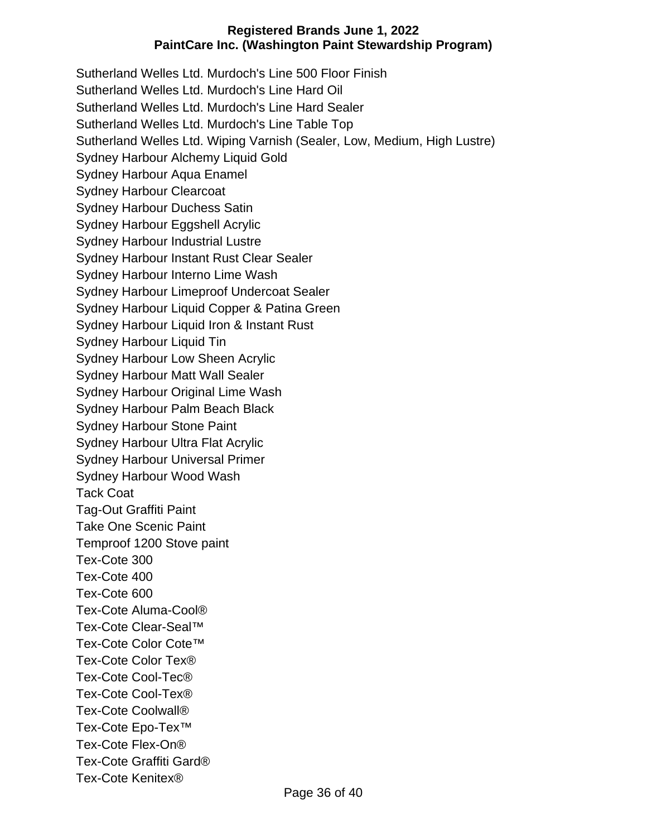Sutherland Welles Ltd. Murdoch's Line 500 Floor Finish Sutherland Welles Ltd. Murdoch's Line Hard Oil Sutherland Welles Ltd. Murdoch's Line Hard Sealer Sutherland Welles Ltd. Murdoch's Line Table Top Sutherland Welles Ltd. Wiping Varnish (Sealer, Low, Medium, High Lustre) Sydney Harbour Alchemy Liquid Gold Sydney Harbour Aqua Enamel Sydney Harbour Clearcoat Sydney Harbour Duchess Satin Sydney Harbour Eggshell Acrylic Sydney Harbour Industrial Lustre Sydney Harbour Instant Rust Clear Sealer Sydney Harbour Interno Lime Wash Sydney Harbour Limeproof Undercoat Sealer Sydney Harbour Liquid Copper & Patina Green Sydney Harbour Liquid Iron & Instant Rust Sydney Harbour Liquid Tin Sydney Harbour Low Sheen Acrylic Sydney Harbour Matt Wall Sealer Sydney Harbour Original Lime Wash Sydney Harbour Palm Beach Black Sydney Harbour Stone Paint Sydney Harbour Ultra Flat Acrylic Sydney Harbour Universal Primer Sydney Harbour Wood Wash Tack Coat Tag-Out Graffiti Paint Take One Scenic Paint Temproof 1200 Stove paint Tex-Cote 300 Tex-Cote 400 Tex-Cote 600 Tex-Cote Aluma-Cool® Tex-Cote Clear-Seal™ Tex-Cote Color Cote™ Tex-Cote Color Tex® Tex-Cote Cool-Tec® Tex-Cote Cool-Tex® Tex-Cote Coolwall® Tex-Cote Epo-Tex™ Tex-Cote Flex-On® Tex-Cote Graffiti Gard® Tex-Cote Kenitex®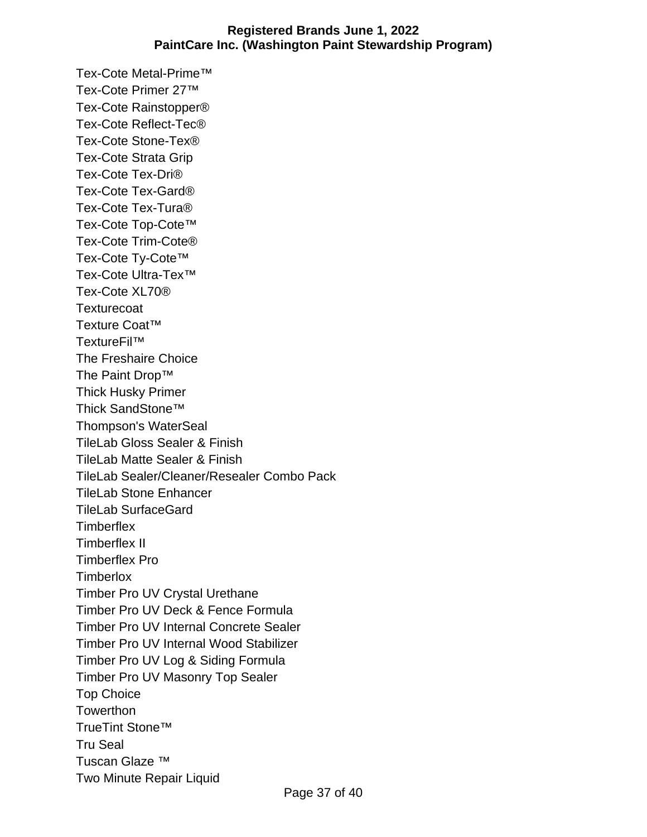Tex-Cote Metal-Prime™ Tex-Cote Primer 27™ Tex-Cote Rainstopper® Tex-Cote Reflect-Tec® Tex-Cote Stone-Tex® Tex-Cote Strata Grip Tex-Cote Tex-Dri® Tex-Cote Tex-Gard® Tex-Cote Tex-Tura® Tex-Cote Top-Cote™ Tex-Cote Trim-Cote® Tex-Cote Ty-Cote™ Tex-Cote Ultra-Tex™ Tex-Cote XL70® **Texturecoat** Texture Coat™ TextureFil™ The Freshaire Choice The Paint Drop™ Thick Husky Primer Thick SandStone™ Thompson's WaterSeal TileLab Gloss Sealer & Finish TileLab Matte Sealer & Finish TileLab Sealer/Cleaner/Resealer Combo Pack TileLab Stone Enhancer TileLab SurfaceGard **Timberflex** Timberflex II Timberflex Pro **Timberlox** Timber Pro UV Crystal Urethane Timber Pro UV Deck & Fence Formula Timber Pro UV Internal Concrete Sealer Timber Pro UV Internal Wood Stabilizer Timber Pro UV Log & Siding Formula Timber Pro UV Masonry Top Sealer Top Choice **Towerthon** TrueTint Stone™ Tru Seal Tuscan Glaze ™ Two Minute Repair Liquid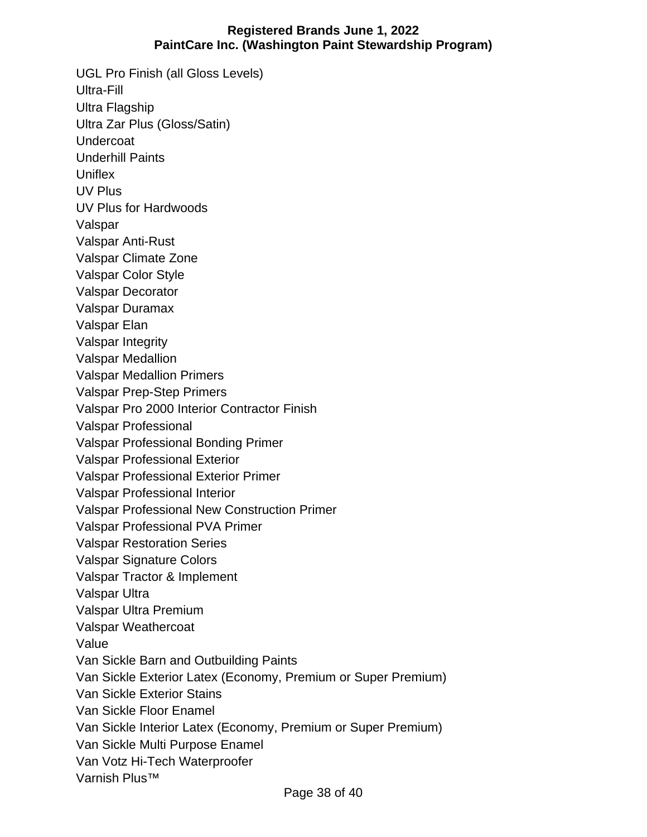UGL Pro Finish (all Gloss Levels) Ultra-Fill Ultra Flagship Ultra Zar Plus (Gloss/Satin) **Undercoat** Underhill Paints **Uniflex** UV Plus UV Plus for Hardwoods Valspar Valspar Anti-Rust Valspar Climate Zone Valspar Color Style Valspar Decorator Valspar Duramax Valspar Elan Valspar Integrity Valspar Medallion Valspar Medallion Primers Valspar Prep-Step Primers Valspar Pro 2000 Interior Contractor Finish Valspar Professional Valspar Professional Bonding Primer Valspar Professional Exterior Valspar Professional Exterior Primer Valspar Professional Interior Valspar Professional New Construction Primer Valspar Professional PVA Primer Valspar Restoration Series Valspar Signature Colors Valspar Tractor & Implement Valspar Ultra Valspar Ultra Premium Valspar Weathercoat Value Van Sickle Barn and Outbuilding Paints Van Sickle Exterior Latex (Economy, Premium or Super Premium) Van Sickle Exterior Stains Van Sickle Floor Enamel Van Sickle Interior Latex (Economy, Premium or Super Premium) Van Sickle Multi Purpose Enamel Van Votz Hi-Tech Waterproofer Varnish Plus™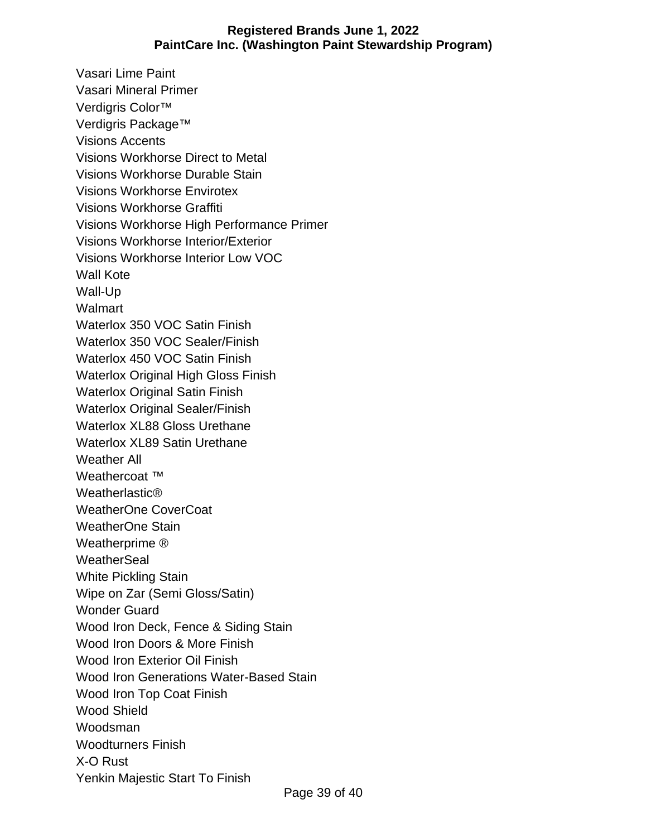Vasari Lime Paint Vasari Mineral Primer Verdigris Color™ Verdigris Package™ Visions Accents Visions Workhorse Direct to Metal Visions Workhorse Durable Stain Visions Workhorse Envirotex Visions Workhorse Graffiti Visions Workhorse High Performance Primer Visions Workhorse Interior/Exterior Visions Workhorse Interior Low VOC Wall Kote Wall-Up **Walmart** Waterlox 350 VOC Satin Finish Waterlox 350 VOC Sealer/Finish Waterlox 450 VOC Satin Finish Waterlox Original High Gloss Finish Waterlox Original Satin Finish Waterlox Original Sealer/Finish Waterlox XL88 Gloss Urethane Waterlox XL89 Satin Urethane Weather All Weathercoat <sup>™</sup> Weatherlastic® WeatherOne CoverCoat WeatherOne Stain Weatherprime ® **WeatherSeal** White Pickling Stain Wipe on Zar (Semi Gloss/Satin) Wonder Guard Wood Iron Deck, Fence & Siding Stain Wood Iron Doors & More Finish Wood Iron Exterior Oil Finish Wood Iron Generations Water-Based Stain Wood Iron Top Coat Finish Wood Shield Woodsman Woodturners Finish X-O Rust Yenkin Majestic Start To Finish